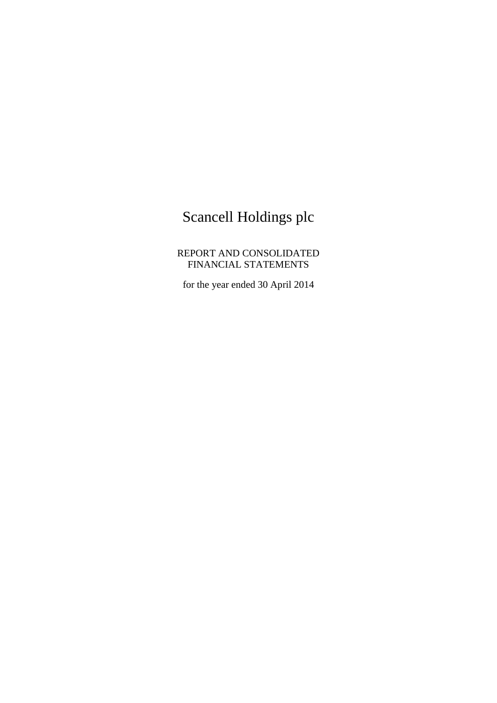# Scancell Holdings plc

REPORT AND CONSOLIDATED FINANCIAL STATEMENTS

for the year ended 30 April 2014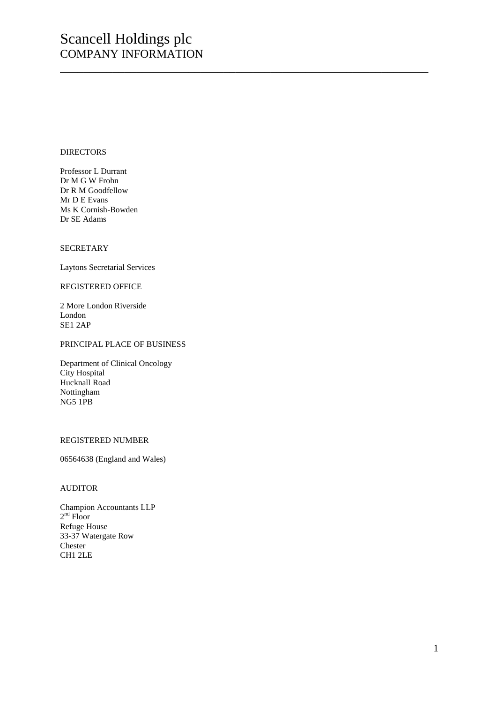# Scancell Holdings plc COMPANY INFORMATION

\_\_\_\_\_\_\_\_\_\_\_\_\_\_\_\_\_\_\_\_\_\_\_\_\_\_\_\_\_\_\_\_\_\_\_\_\_\_\_\_\_\_\_\_\_\_\_\_\_\_\_\_\_\_\_\_\_\_\_\_\_\_\_

## DIRECTORS

Professor L Durrant Dr M G W Frohn Dr R M Goodfellow Mr D E Evans Ms K Cornish-Bowden Dr SE Adams

#### SECRETARY

Laytons Secretarial Services

#### REGISTERED OFFICE

2 More London Riverside London SE1 2AP

## PRINCIPAL PLACE OF BUSINESS

Department of Clinical Oncology City Hospital Hucknall Road Nottingham NG5 1PB

#### REGISTERED NUMBER

06564638 (England and Wales)

#### AUDITOR

Champion Accountants LLP  $2<sup>nd</sup>$  Floor Refuge House 33-37 Watergate Row Chester CH1 2LE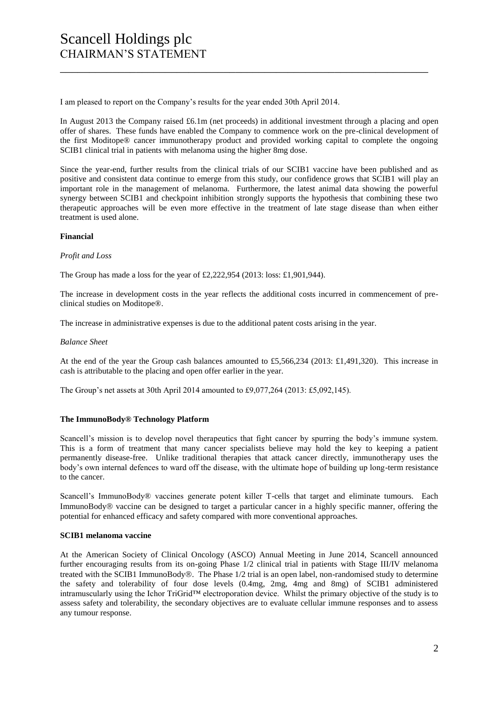# Scancell Holdings plc CHAIRMAN'S STATEMENT

I am pleased to report on the Company's results for the year ended 30th April 2014.

In August 2013 the Company raised £6.1m (net proceeds) in additional investment through a placing and open offer of shares. These funds have enabled the Company to commence work on the pre-clinical development of the first Moditope® cancer immunotherapy product and provided working capital to complete the ongoing SCIB1 clinical trial in patients with melanoma using the higher 8mg dose.

\_\_\_\_\_\_\_\_\_\_\_\_\_\_\_\_\_\_\_\_\_\_\_\_\_\_\_\_\_\_\_\_\_\_\_\_\_\_\_\_\_\_\_\_\_\_\_\_\_\_\_\_\_\_\_\_\_\_\_\_\_\_\_

Since the year-end, further results from the clinical trials of our SCIB1 vaccine have been published and as positive and consistent data continue to emerge from this study, our confidence grows that SCIB1 will play an important role in the management of melanoma. Furthermore, the latest animal data showing the powerful synergy between SCIB1 and checkpoint inhibition strongly supports the hypothesis that combining these two therapeutic approaches will be even more effective in the treatment of late stage disease than when either treatment is used alone.

#### **Financial**

#### *Profit and Loss*

The Group has made a loss for the year of £2,222,954 (2013: loss: £1,901,944).

The increase in development costs in the year reflects the additional costs incurred in commencement of preclinical studies on Moditope®.

The increase in administrative expenses is due to the additional patent costs arising in the year.

#### *Balance Sheet*

At the end of the year the Group cash balances amounted to £5,566,234 (2013: £1,491,320). This increase in cash is attributable to the placing and open offer earlier in the year.

The Group's net assets at 30th April 2014 amounted to £9,077,264 (2013: £5,092,145).

#### **The ImmunoBody® Technology Platform**

Scancell's mission is to develop novel therapeutics that fight cancer by spurring the body's immune system. This is a form of treatment that many cancer specialists believe may hold the key to keeping a patient permanently disease-free. Unlike traditional therapies that attack cancer directly, immunotherapy uses the body's own internal defences to ward off the disease, with the ultimate hope of building up long-term resistance to the cancer.

Scancell's ImmunoBody® vaccines generate potent killer T-cells that target and eliminate tumours. Each ImmunoBody<sup>®</sup> vaccine can be designed to target a particular cancer in a highly specific manner, offering the potential for enhanced efficacy and safety compared with more conventional approaches.

#### **SCIB1 melanoma vaccine**

At the American Society of Clinical Oncology (ASCO) Annual Meeting in June 2014, Scancell announced further encouraging results from its on-going Phase 1/2 clinical trial in patients with Stage III/IV melanoma treated with the SCIB1 ImmunoBody $\mathcal{R}$ . The Phase 1/2 trial is an open label, non-randomised study to determine the safety and tolerability of four dose levels (0.4mg, 2mg, 4mg and 8mg) of SCIB1 administered intramuscularly using the Ichor TriGrid™ electroporation device. Whilst the primary objective of the study is to assess safety and tolerability, the secondary objectives are to evaluate cellular immune responses and to assess any tumour response.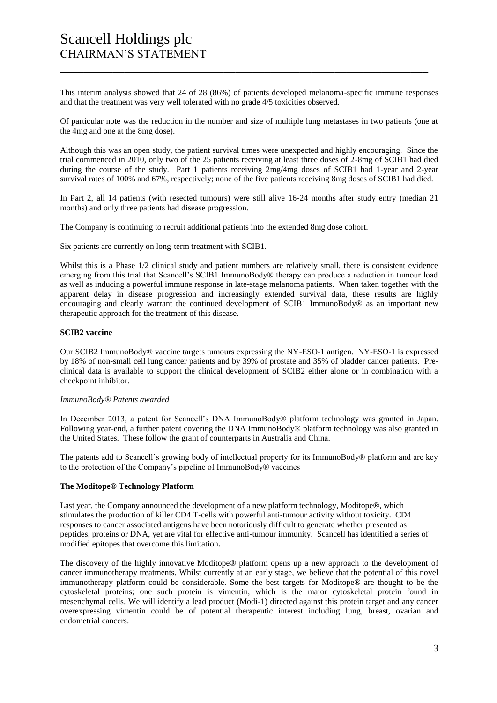# Scancell Holdings plc CHAIRMAN'S STATEMENT

This interim analysis showed that 24 of 28 (86%) of patients developed melanoma-specific immune responses and that the treatment was very well tolerated with no grade 4/5 toxicities observed.

\_\_\_\_\_\_\_\_\_\_\_\_\_\_\_\_\_\_\_\_\_\_\_\_\_\_\_\_\_\_\_\_\_\_\_\_\_\_\_\_\_\_\_\_\_\_\_\_\_\_\_\_\_\_\_\_\_\_\_\_\_\_\_

Of particular note was the reduction in the number and size of multiple lung metastases in two patients (one at the 4mg and one at the 8mg dose).

Although this was an open study, the patient survival times were unexpected and highly encouraging. Since the trial commenced in 2010, only two of the 25 patients receiving at least three doses of 2-8mg of SCIB1 had died during the course of the study. Part 1 patients receiving  $2mg/4mg$  doses of SCIB1 had 1-year and 2-year survival rates of 100% and 67%, respectively; none of the five patients receiving 8mg doses of SCIB1 had died.

In Part 2, all 14 patients (with resected tumours) were still alive 16-24 months after study entry (median 21 months) and only three patients had disease progression.

The Company is continuing to recruit additional patients into the extended 8mg dose cohort.

Six patients are currently on long-term treatment with SCIB1.

Whilst this is a Phase  $1/2$  clinical study and patient numbers are relatively small, there is consistent evidence emerging from this trial that Scancell's SCIB1 ImmunoBody® therapy can produce a reduction in tumour load as well as inducing a powerful immune response in late-stage melanoma patients. When taken together with the apparent delay in disease progression and increasingly extended survival data, these results are highly encouraging and clearly warrant the continued development of SCIB1 ImmunoBody® as an important new therapeutic approach for the treatment of this disease.

#### **SCIB2 vaccine**

Our SCIB2 ImmunoBody® vaccine targets tumours expressing the NY-ESO-1 antigen. NY-ESO-1 is expressed by 18% of non-small cell lung cancer patients and by 39% of prostate and 35% of bladder cancer patients. Preclinical data is available to support the clinical development of SCIB2 either alone or in combination with a checkpoint inhibitor.

#### *ImmunoBody® Patents awarded*

In December 2013, a patent for Scancell's DNA ImmunoBody® platform technology was granted in Japan. Following year-end, a further patent covering the DNA ImmunoBody® platform technology was also granted in the United States. These follow the grant of counterparts in Australia and China.

The patents add to Scancell's growing body of intellectual property for its ImmunoBody® platform and are key to the protection of the Company's pipeline of ImmunoBody® vaccines

#### **The Moditope® Technology Platform**

Last year, the Company announced the development of a new platform technology, Moditope®, which stimulates the production of killer CD4 T-cells with powerful anti-tumour activity without toxicity. CD4 responses to cancer associated antigens have been notoriously difficult to generate whether presented as peptides, proteins or DNA, yet are vital for effective anti-tumour immunity. Scancell has identified a series of modified epitopes that overcome this limitation**.** 

The discovery of the highly innovative Moditope® platform opens up a new approach to the development of cancer immunotherapy treatments. Whilst currently at an early stage, we believe that the potential of this novel immunotherapy platform could be considerable. Some the best targets for Moditope® are thought to be the cytoskeletal proteins; one such protein is vimentin, which is the major cytoskeletal protein found in mesenchymal cells. We will identify a lead product (Modi-1) directed against this protein target and any cancer overexpressing vimentin could be of potential therapeutic interest including lung, breast, ovarian and endometrial cancers.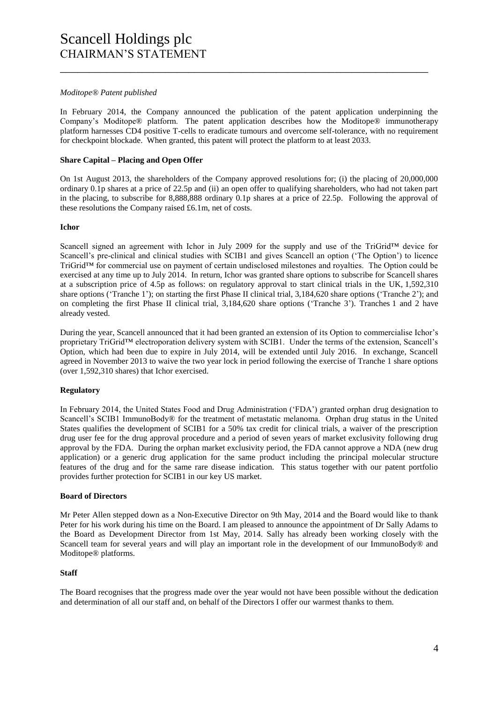#### *Moditope® Patent published*

In February 2014, the Company announced the publication of the patent application underpinning the Company's Moditope® platform. The patent application describes how the Moditope® immunotherapy platform harnesses CD4 positive T-cells to eradicate tumours and overcome self-tolerance, with no requirement for checkpoint blockade. When granted, this patent will protect the platform to at least 2033.

\_\_\_\_\_\_\_\_\_\_\_\_\_\_\_\_\_\_\_\_\_\_\_\_\_\_\_\_\_\_\_\_\_\_\_\_\_\_\_\_\_\_\_\_\_\_\_\_\_\_\_\_\_\_\_\_\_\_\_\_\_\_\_

### **Share Capital – Placing and Open Offer**

On 1st August 2013, the shareholders of the Company approved resolutions for; (i) the placing of 20,000,000 ordinary 0.1p shares at a price of 22.5p and (ii) an open offer to qualifying shareholders, who had not taken part in the placing, to subscribe for 8,888,888 ordinary 0.1p shares at a price of 22.5p. Following the approval of these resolutions the Company raised £6.1m, net of costs.

#### **Ichor**

Scancell signed an agreement with Ichor in July 2009 for the supply and use of the TriGrid™ device for Scancell's pre-clinical and clinical studies with SCIB1 and gives Scancell an option ('The Option') to licence TriGrid™ for commercial use on payment of certain undisclosed milestones and royalties. The Option could be exercised at any time up to July 2014. In return, Ichor was granted share options to subscribe for Scancell shares at a subscription price of 4.5p as follows: on regulatory approval to start clinical trials in the UK, 1,592,310 share options ('Tranche 1'); on starting the first Phase II clinical trial, 3,184,620 share options ('Tranche 2'); and on completing the first Phase II clinical trial, 3,184,620 share options ('Tranche 3'). Tranches 1 and 2 have already vested.

During the year, Scancell announced that it had been granted an extension of its Option to commercialise Ichor's proprietary TriGrid™ electroporation delivery system with SCIB1. Under the terms of the extension, Scancell's Option, which had been due to expire in July 2014, will be extended until July 2016. In exchange, Scancell agreed in November 2013 to waive the two year lock in period following the exercise of Tranche 1 share options (over 1,592,310 shares) that Ichor exercised.

#### **Regulatory**

In February 2014, the United States Food and Drug Administration ('FDA') granted orphan drug designation to Scancell's SCIB1 ImmunoBody® for the treatment of metastatic melanoma. Orphan drug status in the United States qualifies the development of SCIB1 for a 50% tax credit for clinical trials, a waiver of the prescription drug user fee for the drug approval procedure and a period of seven years of market exclusivity following drug approval by the FDA. During the orphan market exclusivity period, the FDA cannot approve a NDA (new drug application) or a generic drug application for the same product including the principal molecular structure features of the drug and for the same rare disease indication. This status together with our patent portfolio provides further protection for SCIB1 in our key US market.

#### **Board of Directors**

Mr Peter Allen stepped down as a Non-Executive Director on 9th May, 2014 and the Board would like to thank Peter for his work during his time on the Board. I am pleased to announce the appointment of Dr Sally Adams to the Board as Development Director from 1st May, 2014. Sally has already been working closely with the Scancell team for several years and will play an important role in the development of our ImmunoBody® and Moditope® platforms.

#### **Staff**

The Board recognises that the progress made over the year would not have been possible without the dedication and determination of all our staff and, on behalf of the Directors I offer our warmest thanks to them.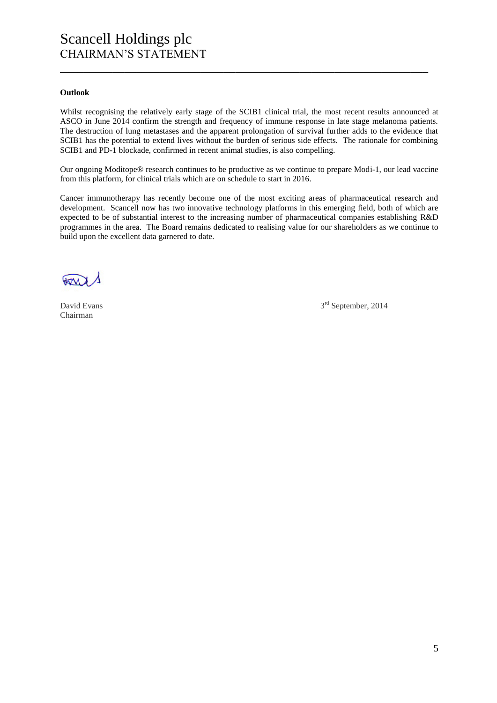# Scancell Holdings plc CHAIRMAN'S STATEMENT

### **Outlook**

Whilst recognising the relatively early stage of the SCIB1 clinical trial, the most recent results announced at ASCO in June 2014 confirm the strength and frequency of immune response in late stage melanoma patients. The destruction of lung metastases and the apparent prolongation of survival further adds to the evidence that SCIB1 has the potential to extend lives without the burden of serious side effects. The rationale for combining SCIB1 and PD-1 blockade, confirmed in recent animal studies, is also compelling.

\_\_\_\_\_\_\_\_\_\_\_\_\_\_\_\_\_\_\_\_\_\_\_\_\_\_\_\_\_\_\_\_\_\_\_\_\_\_\_\_\_\_\_\_\_\_\_\_\_\_\_\_\_\_\_\_\_\_\_\_\_\_\_

Our ongoing Moditope® research continues to be productive as we continue to prepare Modi-1, our lead vaccine from this platform, for clinical trials which are on schedule to start in 2016.

Cancer immunotherapy has recently become one of the most exciting areas of pharmaceutical research and development. Scancell now has two innovative technology platforms in this emerging field, both of which are expected to be of substantial interest to the increasing number of pharmaceutical companies establishing R&D programmes in the area. The Board remains dedicated to realising value for our shareholders as we continue to build upon the excellent data garnered to date.

David Evans Chairman

 $3<sup>rd</sup>$  September, 2014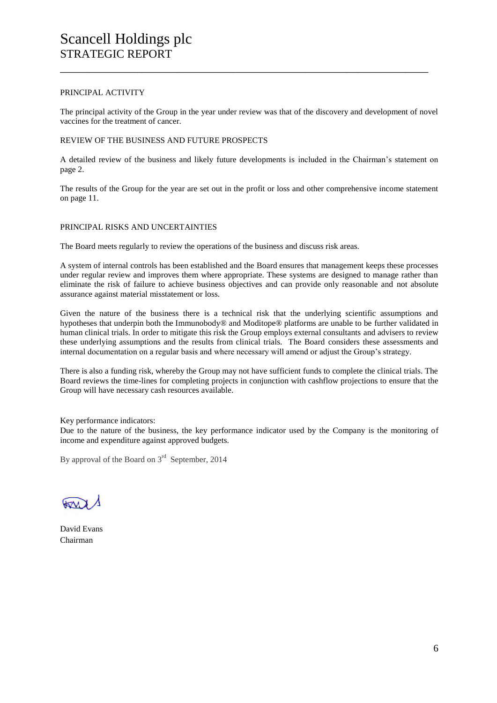#### PRINCIPAL ACTIVITY

The principal activity of the Group in the year under review was that of the discovery and development of novel vaccines for the treatment of cancer.

\_\_\_\_\_\_\_\_\_\_\_\_\_\_\_\_\_\_\_\_\_\_\_\_\_\_\_\_\_\_\_\_\_\_\_\_\_\_\_\_\_\_\_\_\_\_\_\_\_\_\_\_\_\_\_\_\_\_\_\_\_\_\_

### REVIEW OF THE BUSINESS AND FUTURE PROSPECTS

A detailed review of the business and likely future developments is included in the Chairman's statement on page 2.

The results of the Group for the year are set out in the profit or loss and other comprehensive income statement on page 11.

### PRINCIPAL RISKS AND UNCERTAINTIES

The Board meets regularly to review the operations of the business and discuss risk areas.

A system of internal controls has been established and the Board ensures that management keeps these processes under regular review and improves them where appropriate. These systems are designed to manage rather than eliminate the risk of failure to achieve business objectives and can provide only reasonable and not absolute assurance against material misstatement or loss.

Given the nature of the business there is a technical risk that the underlying scientific assumptions and hypotheses that underpin both the Immunobody® and Moditope® platforms are unable to be further validated in human clinical trials. In order to mitigate this risk the Group employs external consultants and advisers to review these underlying assumptions and the results from clinical trials. The Board considers these assessments and internal documentation on a regular basis and where necessary will amend or adjust the Group's strategy.

There is also a funding risk, whereby the Group may not have sufficient funds to complete the clinical trials. The Board reviews the time-lines for completing projects in conjunction with cashflow projections to ensure that the Group will have necessary cash resources available.

Key performance indicators:

Due to the nature of the business, the key performance indicator used by the Company is the monitoring of income and expenditure against approved budgets.

By approval of the Board on 3<sup>rd</sup> September, 2014



David Evans Chairman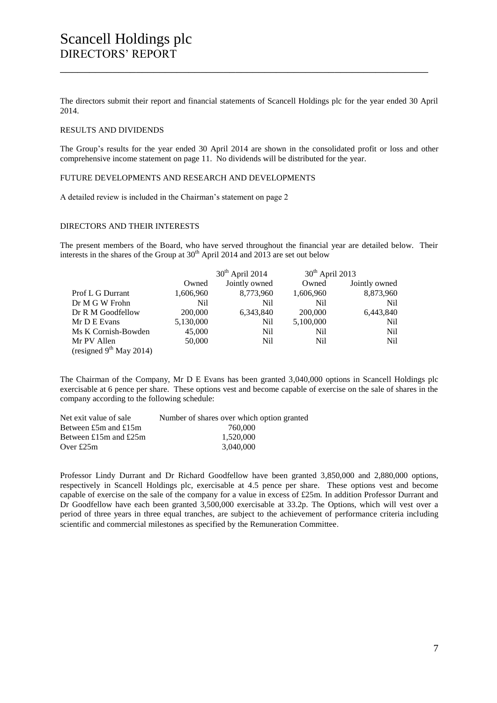The directors submit their report and financial statements of Scancell Holdings plc for the year ended 30 April 2014.

\_\_\_\_\_\_\_\_\_\_\_\_\_\_\_\_\_\_\_\_\_\_\_\_\_\_\_\_\_\_\_\_\_\_\_\_\_\_\_\_\_\_\_\_\_\_\_\_\_\_\_\_\_\_\_\_\_\_\_\_\_\_\_

#### RESULTS AND DIVIDENDS

The Group's results for the year ended 30 April 2014 are shown in the consolidated profit or loss and other comprehensive income statement on page 11. No dividends will be distributed for the year.

#### FUTURE DEVELOPMENTS AND RESEARCH AND DEVELOPMENTS

A detailed review is included in the Chairman's statement on page 2

### DIRECTORS AND THEIR INTERESTS

The present members of the Board, who have served throughout the financial year are detailed below. Their interests in the shares of the Group at  $30<sup>th</sup>$  April 2014 and 2013 are set out below

|                              |           | $30th$ April 2014 | $30th$ April 2013 |               |
|------------------------------|-----------|-------------------|-------------------|---------------|
|                              | Owned     | Jointly owned     | Owned             | Jointly owned |
| Prof L G Durrant             | 1,606,960 | 8,773,960         | 1,606,960         | 8,873,960     |
| Dr M G W Frohn               | Nil       | N <sub>i</sub>    | N <sub>il</sub>   | Nil.          |
| Dr R M Goodfellow            | 200,000   | 6,343,840         | 200,000           | 6,443,840     |
| Mr D E Evans                 | 5,130,000 | Nil               | 5,100,000         | Nil           |
| Ms K Cornish-Bowden          | 45,000    | Nil               | Nil               | Nil           |
| Mr PV Allen                  | 50,000    | Nil               | Nil               | Nil           |
| (resigned $9^{th}$ May 2014) |           |                   |                   |               |

The Chairman of the Company, Mr D E Evans has been granted 3,040,000 options in Scancell Holdings plc exercisable at 6 pence per share. These options vest and become capable of exercise on the sale of shares in the company according to the following schedule:

| Net exit value of sale   | Number of shares over which option granted |
|--------------------------|--------------------------------------------|
| Between $£5m$ and $£15m$ | 760,000                                    |
| Between £15m and £25m    | 1.520.000                                  |
| Over $£25m$              | 3.040.000                                  |

Professor Lindy Durrant and Dr Richard Goodfellow have been granted 3,850,000 and 2,880,000 options, respectively in Scancell Holdings plc, exercisable at 4.5 pence per share. These options vest and become capable of exercise on the sale of the company for a value in excess of £25m. In addition Professor Durrant and Dr Goodfellow have each been granted 3,500,000 exercisable at 33.2p. The Options, which will vest over a period of three years in three equal tranches, are subject to the achievement of performance criteria including scientific and commercial milestones as specified by the Remuneration Committee.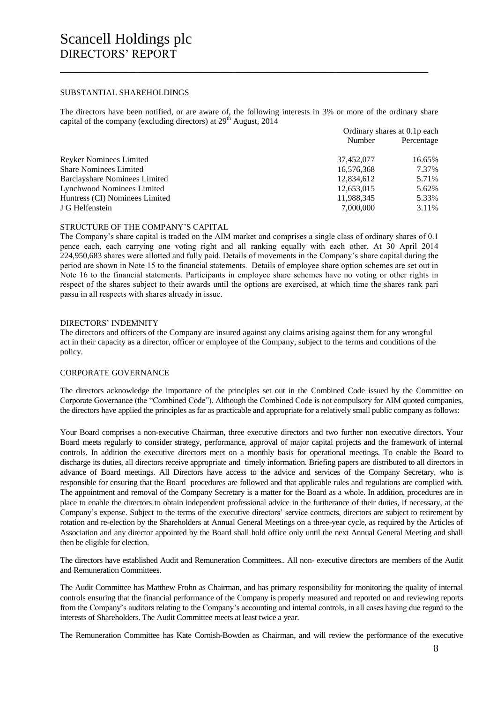#### SUBSTANTIAL SHAREHOLDINGS

The directors have been notified, or are aware of, the following interests in 3% or more of the ordinary share capital of the company (excluding directors) at  $29<sup>th</sup>$  August,  $2014$ 

\_\_\_\_\_\_\_\_\_\_\_\_\_\_\_\_\_\_\_\_\_\_\_\_\_\_\_\_\_\_\_\_\_\_\_\_\_\_\_\_\_\_\_\_\_\_\_\_\_\_\_\_\_\_\_\_\_\_\_\_\_\_\_

| Ordinary shares at 0.1p each |            |
|------------------------------|------------|
| Number                       | Percentage |
| 37,452,077                   | 16.65%     |
| 16,576,368                   | 7.37%      |
| 12,834,612                   | 5.71%      |
| 12,653,015                   | 5.62%      |
| 11.988.345                   | 5.33%      |
| 7,000,000                    | 3.11%      |
|                              |            |

#### STRUCTURE OF THE COMPANY'S CAPITAL

The Company's share capital is traded on the AIM market and comprises a single class of ordinary shares of 0.1 pence each, each carrying one voting right and all ranking equally with each other. At 30 April 2014 224,950,683 shares were allotted and fully paid. Details of movements in the Company's share capital during the period are shown in Note 15 to the financial statements. Details of employee share option schemes are set out in Note 16 to the financial statements. Participants in employee share schemes have no voting or other rights in respect of the shares subject to their awards until the options are exercised, at which time the shares rank pari passu in all respects with shares already in issue.

#### DIRECTORS' INDEMNITY

The directors and officers of the Company are insured against any claims arising against them for any wrongful act in their capacity as a director, officer or employee of the Company, subject to the terms and conditions of the policy.

#### CORPORATE GOVERNANCE

The directors acknowledge the importance of the principles set out in the Combined Code issued by the Committee on Corporate Governance (the "Combined Code"). Although the Combined Code is not compulsory for AIM quoted companies, the directors have applied the principles as far as practicable and appropriate for a relatively small public company as follows:

Your Board comprises a non-executive Chairman, three executive directors and two further non executive directors. Your Board meets regularly to consider strategy, performance, approval of major capital projects and the framework of internal controls. In addition the executive directors meet on a monthly basis for operational meetings. To enable the Board to discharge its duties, all directors receive appropriate and timely information. Briefing papers are distributed to all directors in advance of Board meetings. All Directors have access to the advice and services of the Company Secretary, who is responsible for ensuring that the Board procedures are followed and that applicable rules and regulations are complied with. The appointment and removal of the Company Secretary is a matter for the Board as a whole. In addition, procedures are in place to enable the directors to obtain independent professional advice in the furtherance of their duties, if necessary, at the Company's expense. Subject to the terms of the executive directors' service contracts, directors are subject to retirement by rotation and re-election by the Shareholders at Annual General Meetings on a three-year cycle, as required by the Articles of Association and any director appointed by the Board shall hold office only until the next Annual General Meeting and shall then be eligible for election.

The directors have established Audit and Remuneration Committees.. All non- executive directors are members of the Audit and Remuneration Committees.

The Audit Committee has Matthew Frohn as Chairman, and has primary responsibility for monitoring the quality of internal controls ensuring that the financial performance of the Company is properly measured and reported on and reviewing reports from the Company's auditors relating to the Company's accounting and internal controls, in all cases having due regard to the interests of Shareholders. The Audit Committee meets at least twice a year.

The Remuneration Committee has Kate Cornish-Bowden as Chairman, and will review the performance of the executive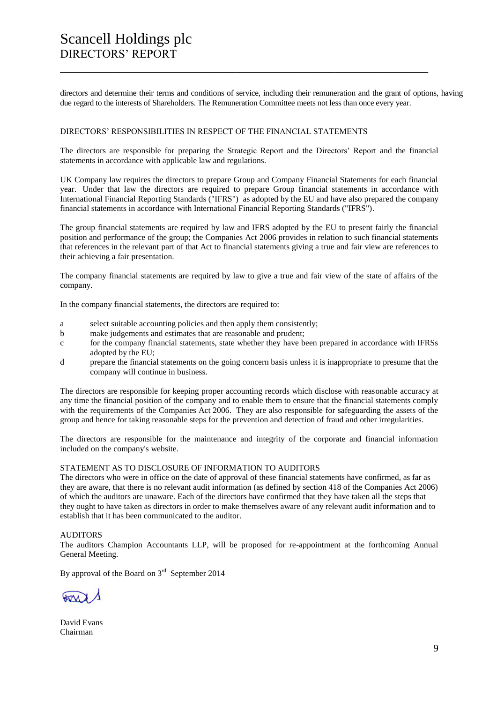directors and determine their terms and conditions of service, including their remuneration and the grant of options, having due regard to the interests of Shareholders. The Remuneration Committee meets not less than once every year.

#### DIRECTORS' RESPONSIBILITIES IN RESPECT OF THE FINANCIAL STATEMENTS

The directors are responsible for preparing the Strategic Report and the Directors' Report and the financial statements in accordance with applicable law and regulations.

\_\_\_\_\_\_\_\_\_\_\_\_\_\_\_\_\_\_\_\_\_\_\_\_\_\_\_\_\_\_\_\_\_\_\_\_\_\_\_\_\_\_\_\_\_\_\_\_\_\_\_\_\_\_\_\_\_\_\_\_\_\_\_

UK Company law requires the directors to prepare Group and Company Financial Statements for each financial year. Under that law the directors are required to prepare Group financial statements in accordance with International Financial Reporting Standards ("IFRS") as adopted by the EU and have also prepared the company financial statements in accordance with International Financial Reporting Standards ("IFRS").

The group financial statements are required by law and IFRS adopted by the EU to present fairly the financial position and performance of the group; the Companies Act 2006 provides in relation to such financial statements that references in the relevant part of that Act to financial statements giving a true and fair view are references to their achieving a fair presentation.

The company financial statements are required by law to give a true and fair view of the state of affairs of the company.

In the company financial statements, the directors are required to:

- a select suitable accounting policies and then apply them consistently;
- b make judgements and estimates that are reasonable and prudent;
- c for the company financial statements, state whether they have been prepared in accordance with IFRSs adopted by the EU;
- d prepare the financial statements on the going concern basis unless it is inappropriate to presume that the company will continue in business.

The directors are responsible for keeping proper accounting records which disclose with reasonable accuracy at any time the financial position of the company and to enable them to ensure that the financial statements comply with the requirements of the Companies Act 2006. They are also responsible for safeguarding the assets of the group and hence for taking reasonable steps for the prevention and detection of fraud and other irregularities.

The directors are responsible for the maintenance and integrity of the corporate and financial information included on the company's website.

#### STATEMENT AS TO DISCLOSURE OF INFORMATION TO AUDITORS

The directors who were in office on the date of approval of these financial statements have confirmed, as far as they are aware, that there is no relevant audit information (as defined by section 418 of the Companies Act 2006) of which the auditors are unaware. Each of the directors have confirmed that they have taken all the steps that they ought to have taken as directors in order to make themselves aware of any relevant audit information and to establish that it has been communicated to the auditor.

#### AUDITORS

The auditors Champion Accountants LLP, will be proposed for re-appointment at the forthcoming Annual General Meeting.

By approval of the Board on  $3<sup>rd</sup>$  September 2014

David Evans Chairman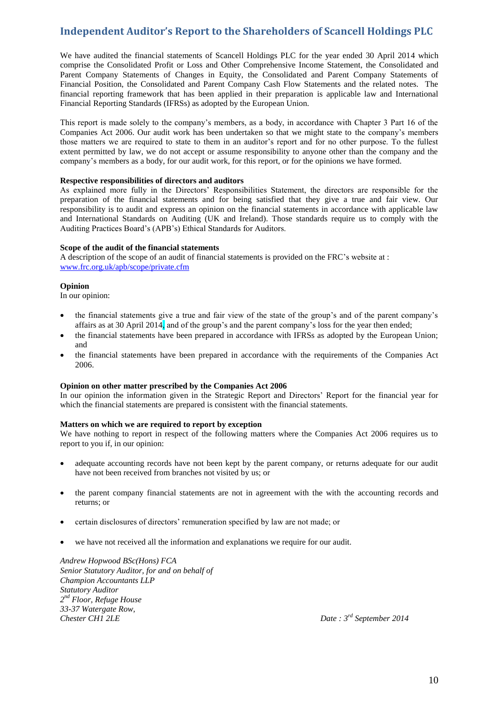# **Independent Auditor's Report to the Shareholders of Scancell Holdings PLC**

We have audited the financial statements of Scancell Holdings PLC for the year ended 30 April 2014 which comprise the Consolidated Profit or Loss and Other Comprehensive Income Statement, the Consolidated and Parent Company Statements of Changes in Equity, the Consolidated and Parent Company Statements of Financial Position, the Consolidated and Parent Company Cash Flow Statements and the related notes. The financial reporting framework that has been applied in their preparation is applicable law and International Financial Reporting Standards (IFRSs) as adopted by the European Union.

This report is made solely to the company's members, as a body, in accordance with Chapter 3 Part 16 of the Companies Act 2006. Our audit work has been undertaken so that we might state to the company's members those matters we are required to state to them in an auditor's report and for no other purpose. To the fullest extent permitted by law, we do not accept or assume responsibility to anyone other than the company and the company's members as a body, for our audit work, for this report, or for the opinions we have formed.

#### **Respective responsibilities of directors and auditors**

As explained more fully in the Directors' Responsibilities Statement, the directors are responsible for the preparation of the financial statements and for being satisfied that they give a true and fair view. Our responsibility is to audit and express an opinion on the financial statements in accordance with applicable law and International Standards on Auditing (UK and Ireland). Those standards require us to comply with the Auditing Practices Board's (APB's) Ethical Standards for Auditors.

#### **Scope of the audit of the financial statements**

A description of the scope of an audit of financial statements is provided on the FRC's website at : [www.frc.org.uk/apb/scope/private.cfm](http://www.frc.org.uk/apb/scope/private.cfm)

### **Opinion**

In our opinion:

- the financial statements give a true and fair view of the state of the group's and of the parent company's affairs as at 30 April 2014, and of the group's and the parent company's loss for the year then ended;
- the financial statements have been prepared in accordance with IFRSs as adopted by the European Union; and
- the financial statements have been prepared in accordance with the requirements of the Companies Act 2006.

#### **Opinion on other matter prescribed by the Companies Act 2006**

In our opinion the information given in the Strategic Report and Directors' Report for the financial year for which the financial statements are prepared is consistent with the financial statements.

### **Matters on which we are required to report by exception**

We have nothing to report in respect of the following matters where the Companies Act 2006 requires us to report to you if, in our opinion:

- adequate accounting records have not been kept by the parent company, or returns adequate for our audit have not been received from branches not visited by us; or
- the parent company financial statements are not in agreement with the with the accounting records and returns; or
- certain disclosures of directors' remuneration specified by law are not made; or
- we have not received all the information and explanations we require for our audit.

*Andrew Hopwood BSc(Hons) FCA Senior Statutory Auditor, for and on behalf of Champion Accountants LLP Statutory Auditor 2 nd Floor, Refuge House 33-37 Watergate Row,*  $Checker CH1 2LE$ 

Date:  $3^{rd}$  September 2014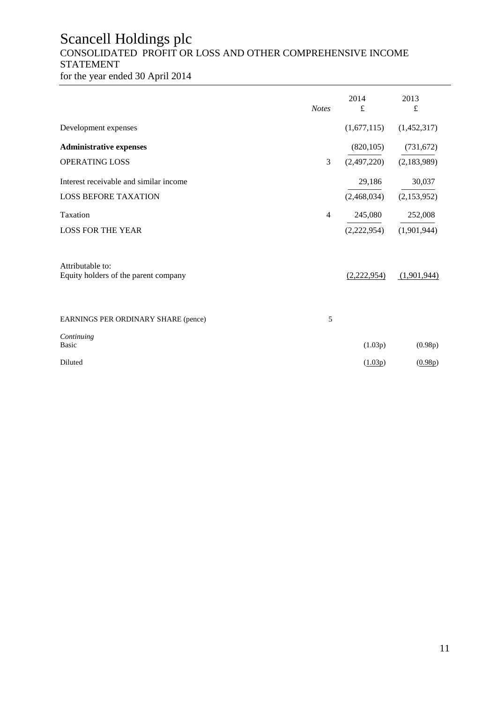# Scancell Holdings plc CONSOLIDATED PROFIT OR LOSS AND OTHER COMPREHENSIVE INCOME STATEMENT

for the year ended 30 April 2014

|                                                          | <b>Notes</b> | 2014<br>£   | 2013<br>£   |
|----------------------------------------------------------|--------------|-------------|-------------|
| Development expenses                                     |              | (1,677,115) | (1,452,317) |
| <b>Administrative expenses</b>                           |              | (820, 105)  | (731, 672)  |
| <b>OPERATING LOSS</b>                                    | 3            | (2,497,220) | (2,183,989) |
| Interest receivable and similar income                   |              | 29,186      | 30,037      |
| <b>LOSS BEFORE TAXATION</b>                              |              | (2,468,034) | (2,153,952) |
| Taxation                                                 | 4            | 245,080     | 252,008     |
| <b>LOSS FOR THE YEAR</b>                                 |              | (2,222,954) | (1,901,944) |
| Attributable to:<br>Equity holders of the parent company |              | (2,222,954) | (1,901,944) |
| EARNINGS PER ORDINARY SHARE (pence)                      | 5            |             |             |
| Continuing<br><b>Basic</b>                               |              | (1.03p)     | (0.98p)     |
| Diluted                                                  |              | (1.03p)     | (0.98p)     |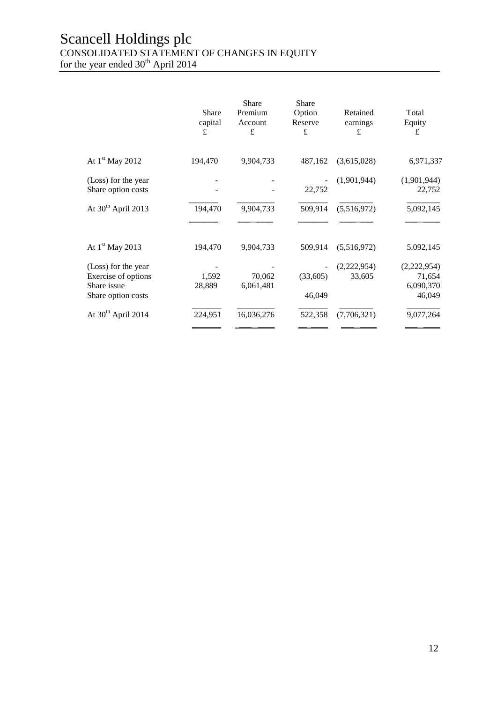# Scancell Holdings plc CONSOLIDATED STATEMENT OF CHANGES IN EQUITY

for the year ended  $30<sup>th</sup>$  April 2014

| Share<br>capital<br>£ | <b>Share</b><br>Premium<br>Account<br>£ | <b>Share</b><br>Option<br>Reserve<br>$\pounds$ | Retained<br>earnings<br>£ | Total<br>Equity<br>£  |
|-----------------------|-----------------------------------------|------------------------------------------------|---------------------------|-----------------------|
| 194,470               | 9,904,733                               | 487,162                                        | (3,615,028)               | 6,971,337             |
|                       |                                         | 22,752                                         | (1,901,944)               | (1,901,944)<br>22,752 |
| 194,470               | 9,904,733                               | 509,914                                        | (5,516,972)               | 5,092,145             |
|                       |                                         |                                                |                           |                       |
| 194,470               | 9,904,733                               | 509,914                                        | (5,516,972)               | 5,092,145             |
| 1,592                 | 70,062                                  | (33,605)                                       | (2,222,954)<br>33,605     | (2,222,954)<br>71,654 |
|                       | 6,061,481                               | 46,049                                         |                           | 6,090,370<br>46,049   |
| 224,951               | 16,036,276                              | 522,358                                        | (7,706,321)               | 9,077,264             |
|                       | 28,889                                  |                                                |                           |                       |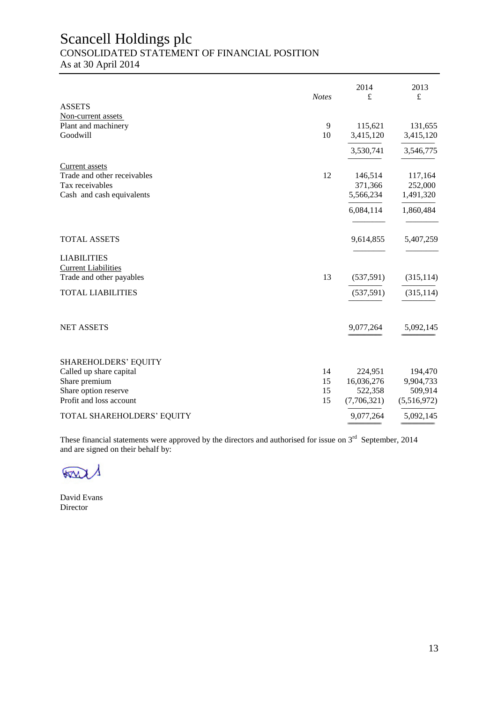# Scancell Holdings plc

CONSOLIDATED STATEMENT OF FINANCIAL POSITION

As at 30 April 2014

|                             | <b>Notes</b> | 2014<br>$\pounds$ | 2013<br>$\pounds$ |
|-----------------------------|--------------|-------------------|-------------------|
| <b>ASSETS</b>               |              |                   |                   |
| Non-current assets          |              |                   |                   |
| Plant and machinery         | 9            | 115,621           | 131,655           |
| Goodwill                    | 10           | 3,415,120         | 3,415,120         |
|                             |              | 3,530,741         | 3,546,775         |
| Current assets              |              |                   |                   |
| Trade and other receivables | 12           | 146,514           | 117,164           |
| Tax receivables             |              | 371,366           | 252,000           |
| Cash and cash equivalents   |              | 5,566,234         | 1,491,320         |
|                             |              | 6,084,114         | 1,860,484         |
| <b>TOTAL ASSETS</b>         |              | 9,614,855         | 5,407,259         |
| <b>LIABILITIES</b>          |              |                   |                   |
| <b>Current Liabilities</b>  |              |                   |                   |
| Trade and other payables    | 13           | (537, 591)        | (315, 114)        |
| <b>TOTAL LIABILITIES</b>    |              | (537, 591)        | (315, 114)        |
| <b>NET ASSETS</b>           |              | 9,077,264         | 5,092,145         |
|                             |              |                   |                   |
| SHAREHOLDERS' EQUITY        |              |                   |                   |
| Called up share capital     | 14           | 224,951           | 194,470           |
| Share premium               | 15           | 16,036,276        | 9,904,733         |
| Share option reserve        | 15           | 522,358           | 509,914           |
| Profit and loss account     | 15           | (7,706,321)       | (5,516,972)       |
| TOTAL SHAREHOLDERS' EQUITY  |              | 9,077,264         | 5,092,145         |

These financial statements were approved by the directors and authorised for issue on  $3<sup>rd</sup>$  September, 2014 and are signed on their behalf by:



David Evans Director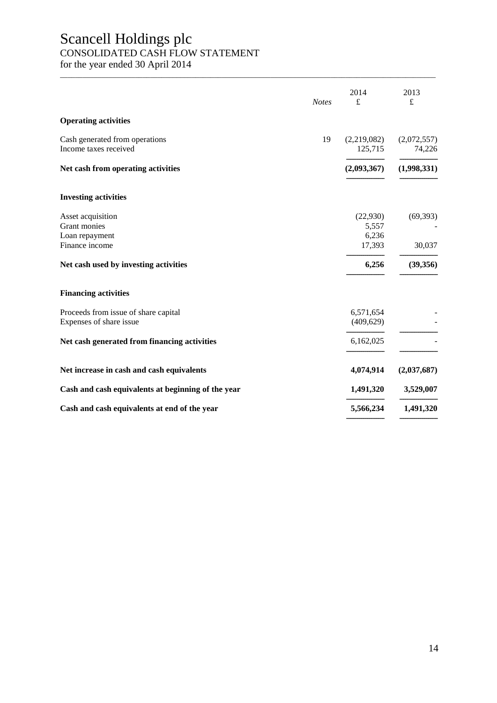# Scancell Holdings plc CONSOLIDATED CASH FLOW STATEMENT

for the year ended 30 April 2014

| <b>Notes</b>                                                    | 2014<br>$\pounds$          | 2013<br>$\mathbf f$   |
|-----------------------------------------------------------------|----------------------------|-----------------------|
| <b>Operating activities</b>                                     |                            |                       |
| 19<br>Cash generated from operations<br>Income taxes received   | (2,219,082)<br>125,715     | (2,072,557)<br>74,226 |
| Net cash from operating activities                              | (2,093,367)                | (1,998,331)           |
| <b>Investing activities</b>                                     |                            |                       |
| Asset acquisition<br>Grant monies                               | (22,930)<br>5,557<br>6,236 | (69, 393)             |
| Loan repayment<br>Finance income                                | 17,393                     | 30,037                |
| Net cash used by investing activities                           | 6,256                      | (39, 356)             |
| <b>Financing activities</b>                                     |                            |                       |
| Proceeds from issue of share capital<br>Expenses of share issue | 6,571,654<br>(409, 629)    |                       |
| Net cash generated from financing activities                    | 6,162,025                  |                       |
| Net increase in cash and cash equivalents                       | 4,074,914                  | (2,037,687)           |
| Cash and cash equivalents at beginning of the year              | 1,491,320                  | 3,529,007             |
| Cash and cash equivalents at end of the year                    | 5,566,234                  | 1,491,320             |

\_\_\_\_\_\_\_\_\_\_\_\_\_\_\_\_\_\_\_\_\_\_\_\_\_\_\_\_\_\_\_\_\_\_\_\_\_\_\_\_\_\_\_\_\_\_\_\_\_\_\_\_\_\_\_\_\_\_\_\_\_\_\_\_\_\_\_\_\_\_\_\_\_\_\_\_\_\_\_\_\_\_\_\_\_\_\_\_\_\_\_\_\_\_\_\_\_\_\_\_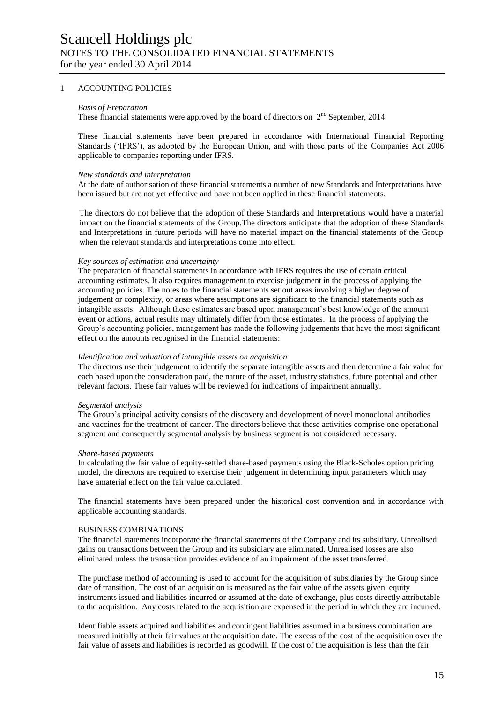#### 1 ACCOUNTING POLICIES

#### *Basis of Preparation*

These financial statements were approved by the board of directors on  $2<sup>nd</sup>$  September, 2014

These financial statements have been prepared in accordance with International Financial Reporting Standards ('IFRS'), as adopted by the European Union, and with those parts of the Companies Act 2006 applicable to companies reporting under IFRS.

#### *New standards and interpretation*

At the date of authorisation of these financial statements a number of new Standards and Interpretations have been issued but are not yet effective and have not been applied in these financial statements.

The directors do not believe that the adoption of these Standards and Interpretations would have a material impact on the financial statements of the Group.The directors anticipate that the adoption of these Standards and Interpretations in future periods will have no material impact on the financial statements of the Group when the relevant standards and interpretations come into effect.

#### *Key sources of estimation and uncertainty*

The preparation of financial statements in accordance with IFRS requires the use of certain critical accounting estimates. It also requires management to exercise judgement in the process of applying the accounting policies. The notes to the financial statements set out areas involving a higher degree of judgement or complexity, or areas where assumptions are significant to the financial statements such as intangible assets. Although these estimates are based upon management's best knowledge of the amount event or actions, actual results may ultimately differ from those estimates. In the process of applying the Group's accounting policies, management has made the following judgements that have the most significant effect on the amounts recognised in the financial statements:

#### *Identification and valuation of intangible assets on acquisition*

The directors use their judgement to identify the separate intangible assets and then determine a fair value for each based upon the consideration paid, the nature of the asset, industry statistics, future potential and other relevant factors. These fair values will be reviewed for indications of impairment annually.

#### *Segmental analysis*

The Group's principal activity consists of the discovery and development of novel monoclonal antibodies and vaccines for the treatment of cancer. The directors believe that these activities comprise one operational segment and consequently segmental analysis by business segment is not considered necessary.

#### *Share-based payments*

In calculating the fair value of equity-settled share-based payments using the Black-Scholes option pricing model, the directors are required to exercise their judgement in determining input parameters which may have amaterial effect on the fair value calculated.

The financial statements have been prepared under the historical cost convention and in accordance with applicable accounting standards.

#### BUSINESS COMBINATIONS

The financial statements incorporate the financial statements of the Company and its subsidiary. Unrealised gains on transactions between the Group and its subsidiary are eliminated. Unrealised losses are also eliminated unless the transaction provides evidence of an impairment of the asset transferred.

The purchase method of accounting is used to account for the acquisition of subsidiaries by the Group since date of transition. The cost of an acquisition is measured as the fair value of the assets given, equity instruments issued and liabilities incurred or assumed at the date of exchange, plus costs directly attributable to the acquisition. Any costs related to the acquisition are expensed in the period in which they are incurred.

Identifiable assets acquired and liabilities and contingent liabilities assumed in a business combination are measured initially at their fair values at the acquisition date. The excess of the cost of the acquisition over the fair value of assets and liabilities is recorded as goodwill. If the cost of the acquisition is less than the fair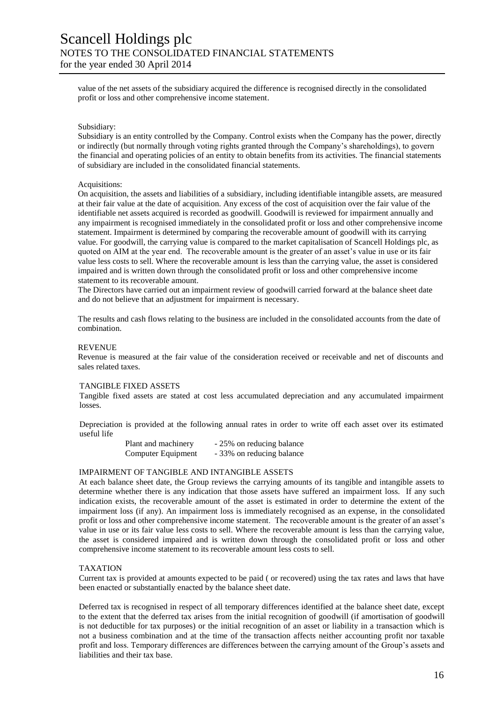value of the net assets of the subsidiary acquired the difference is recognised directly in the consolidated profit or loss and other comprehensive income statement.

#### Subsidiary:

Subsidiary is an entity controlled by the Company. Control exists when the Company has the power, directly or indirectly (but normally through voting rights granted through the Company's shareholdings), to govern the financial and operating policies of an entity to obtain benefits from its activities. The financial statements of subsidiary are included in the consolidated financial statements.

#### Acquisitions:

On acquisition, the assets and liabilities of a subsidiary, including identifiable intangible assets, are measured at their fair value at the date of acquisition. Any excess of the cost of acquisition over the fair value of the identifiable net assets acquired is recorded as goodwill. Goodwill is reviewed for impairment annually and any impairment is recognised immediately in the consolidated profit or loss and other comprehensive income statement. Impairment is determined by comparing the recoverable amount of goodwill with its carrying value. For goodwill, the carrying value is compared to the market capitalisation of Scancell Holdings plc, as quoted on AIM at the year end. The recoverable amount is the greater of an asset's value in use or its fair value less costs to sell. Where the recoverable amount is less than the carrying value, the asset is considered impaired and is written down through the consolidated profit or loss and other comprehensive income statement to its recoverable amount.

The Directors have carried out an impairment review of goodwill carried forward at the balance sheet date and do not believe that an adjustment for impairment is necessary.

The results and cash flows relating to the business are included in the consolidated accounts from the date of combination.

#### **REVENUE**

Revenue is measured at the fair value of the consideration received or receivable and net of discounts and sales related taxes.

#### TANGIBLE FIXED ASSETS

Tangible fixed assets are stated at cost less accumulated depreciation and any accumulated impairment losses.

Depreciation is provided at the following annual rates in order to write off each asset over its estimated useful life

| Plant and machinery | - 25% on reducing balance |
|---------------------|---------------------------|
| Computer Equipment  | - 33% on reducing balance |

#### IMPAIRMENT OF TANGIBLE AND INTANGIBLE ASSETS

At each balance sheet date, the Group reviews the carrying amounts of its tangible and intangible assets to determine whether there is any indication that those assets have suffered an impairment loss. If any such indication exists, the recoverable amount of the asset is estimated in order to determine the extent of the impairment loss (if any). An impairment loss is immediately recognised as an expense, in the consolidated profit or loss and other comprehensive income statement. The recoverable amount is the greater of an asset's value in use or its fair value less costs to sell. Where the recoverable amount is less than the carrying value, the asset is considered impaired and is written down through the consolidated profit or loss and other comprehensive income statement to its recoverable amount less costs to sell.

#### TAXATION

Current tax is provided at amounts expected to be paid ( or recovered) using the tax rates and laws that have been enacted or substantially enacted by the balance sheet date.

Deferred tax is recognised in respect of all temporary differences identified at the balance sheet date, except to the extent that the deferred tax arises from the initial recognition of goodwill (if amortisation of goodwill is not deductible for tax purposes) or the initial recognition of an asset or liability in a transaction which is not a business combination and at the time of the transaction affects neither accounting profit nor taxable profit and loss. Temporary differences are differences between the carrying amount of the Group's assets and liabilities and their tax base.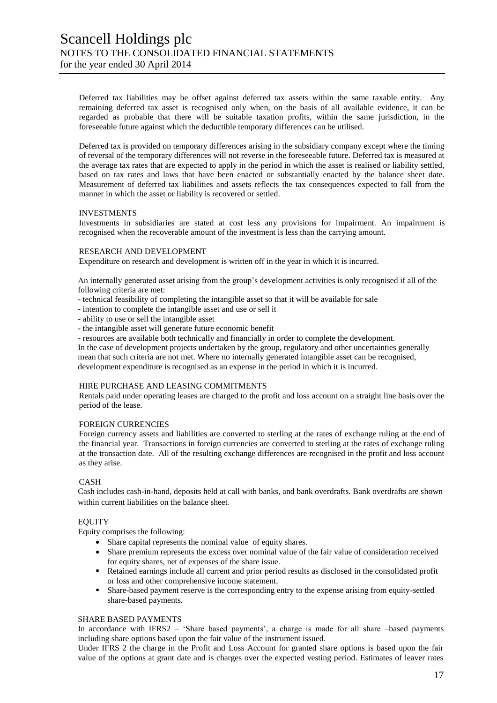Deferred tax liabilities may be offset against deferred tax assets within the same taxable entity. Any remaining deferred tax asset is recognised only when, on the basis of all available evidence, it can be regarded as probable that there will be suitable taxation profits, within the same jurisdiction, in the foreseeable future against which the deductible temporary differences can be utilised.

Deferred tax is provided on temporary differences arising in the subsidiary company except where the timing of reversal of the temporary differences will not reverse in the foreseeable future. Deferred tax is measured at the average tax rates that are expected to apply in the period in which the asset is realised or liability settled, based on tax rates and laws that have been enacted or substantially enacted by the balance sheet date. Measurement of deferred tax liabilities and assets reflects the tax consequences expected to fall from the manner in which the asset or liability is recovered or settled.

#### INVESTMENTS

Investments in subsidiaries are stated at cost less any provisions for impairment. An impairment is recognised when the recoverable amount of the investment is less than the carrying amount.

### RESEARCH AND DEVELOPMENT

Expenditure on research and development is written off in the year in which it is incurred.

An internally generated asset arising from the group's development activities is only recognised if all of the following criteria are met:

- technical feasibility of completing the intangible asset so that it will be available for sale
- intention to complete the intangible asset and use or sell it
- ability to use or sell the intangible asset
- the intangible asset will generate future economic benefit
- resources are available both technically and financially in order to complete the development.

In the case of development projects undertaken by the group, regulatory and other uncertainties generally mean that such criteria are not met. Where no internally generated intangible asset can be recognised, development expenditure is recognised as an expense in the period in which it is incurred.

#### HIRE PURCHASE AND LEASING COMMITMENTS

Rentals paid under operating leases are charged to the profit and loss account on a straight line basis over the period of the lease.

#### FOREIGN CURRENCIES

Foreign currency assets and liabilities are converted to sterling at the rates of exchange ruling at the end of the financial year. Transactions in foreign currencies are converted to sterling at the rates of exchange ruling at the transaction date. All of the resulting exchange differences are recognised in the profit and loss account as they arise.

#### CASH

Cash includes cash-in-hand, deposits held at call with banks, and bank overdrafts. Bank overdrafts are shown within current liabilities on the balance sheet.

#### EQUITY

Equity comprises the following:

- Share capital represents the nominal value of equity shares.
- Share premium represents the excess over nominal value of the fair value of consideration received for equity shares, net of expenses of the share issue.
- Retained earnings include all current and prior period results as disclosed in the consolidated profit or loss and other comprehensive income statement.
- Share-based payment reserve is the corresponding entry to the expense arising from equity-settled share-based payments.

#### SHARE BASED PAYMENTS

In accordance with IFRS2 – 'Share based payments', a charge is made for all share –based payments including share options based upon the fair value of the instrument issued.

Under IFRS 2 the charge in the Profit and Loss Account for granted share options is based upon the fair value of the options at grant date and is charges over the expected vesting period. Estimates of leaver rates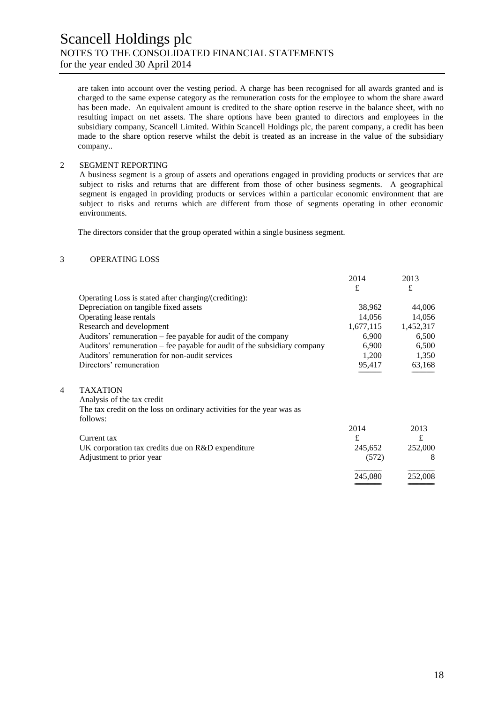are taken into account over the vesting period. A charge has been recognised for all awards granted and is charged to the same expense category as the remuneration costs for the employee to whom the share award has been made. An equivalent amount is credited to the share option reserve in the balance sheet, with no resulting impact on net assets. The share options have been granted to directors and employees in the subsidiary company, Scancell Limited. Within Scancell Holdings plc, the parent company, a credit has been made to the share option reserve whilst the debit is treated as an increase in the value of the subsidiary company..

### 2 SEGMENT REPORTING

A business segment is a group of assets and operations engaged in providing products or services that are subject to risks and returns that are different from those of other business segments. A geographical segment is engaged in providing products or services within a particular economic environment that are subject to risks and returns which are different from those of segments operating in other economic environments.

The directors consider that the group operated within a single business segment.

### 3 OPERATING LOSS

|   |                                                                          | 2014      | 2013      |
|---|--------------------------------------------------------------------------|-----------|-----------|
|   |                                                                          | £         | £         |
|   | Operating Loss is stated after charging/(crediting):                     |           |           |
|   | Depreciation on tangible fixed assets                                    | 38,962    | 44,006    |
|   | Operating lease rentals                                                  | 14,056    | 14,056    |
|   | Research and development                                                 | 1,677,115 | 1,452,317 |
|   | Auditors' remuneration - fee payable for audit of the company            | 6,900     | 6,500     |
|   | Auditors' remuneration – fee payable for audit of the subsidiary company | 6,900     | 6,500     |
|   | Auditors' remuneration for non-audit services                            | 1,200     | 1,350     |
|   | Directors' remuneration                                                  | 95,417    | 63,168    |
|   |                                                                          |           |           |
| 4 | <b>TAXATION</b>                                                          |           |           |
|   | Analysis of the tax credit                                               |           |           |
|   | The tax credit on the loss on ordinary activities for the year was as    |           |           |
|   | follows:                                                                 |           |           |
|   |                                                                          | 2014      | 2013      |
|   | Current tax                                                              | £         | £         |
|   | UK corporation tax credits due on R&D expenditure                        | 245,652   | 252,000   |
|   | Adjustment to prior year                                                 | (572)     | 8         |
|   |                                                                          | 245,080   | 252,008   |
|   |                                                                          |           |           |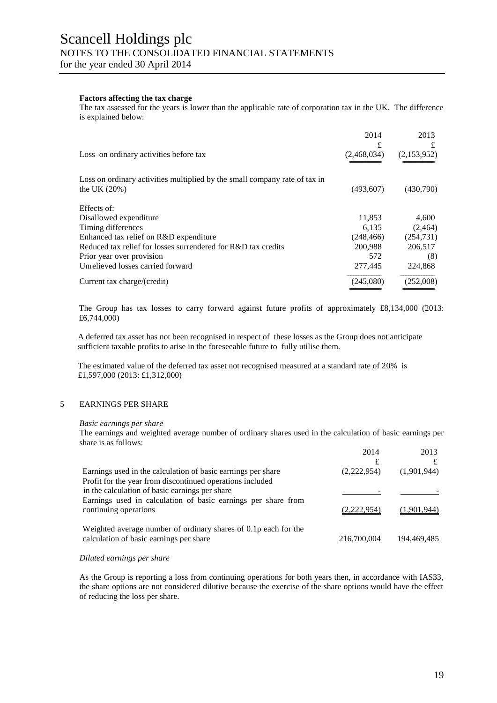#### **Factors affecting the tax charge**

The tax assessed for the years is lower than the applicable rate of corporation tax in the UK. The difference is explained below:

|                                                                                               | 2014             | 2013             |
|-----------------------------------------------------------------------------------------------|------------------|------------------|
| Loss on ordinary activities before tax                                                        | £<br>(2,468,034) | £<br>(2,153,952) |
| Loss on ordinary activities multiplied by the small company rate of tax in<br>the UK $(20\%)$ | (493,607)        | (430,790)        |
| Effects of:                                                                                   |                  |                  |
| Disallowed expenditure                                                                        | 11,853           | 4,600            |
| Timing differences                                                                            | 6.135            | (2,464)          |
| Enhanced tax relief on R&D expenditure                                                        | (248, 466)       | (254, 731)       |
| Reduced tax relief for losses surrendered for R&D tax credits                                 | 200,988          | 206,517          |
| Prior year over provision                                                                     | 572              | (8)              |
| Unrelieved losses carried forward                                                             | 277,445          | 224,868          |
| Current tax charge/(credit)                                                                   | (245,080)        | (252,008)        |

The Group has tax losses to carry forward against future profits of approximately  $\pounds8,134,000$  (2013: £6,744,000)

A deferred tax asset has not been recognised in respect of these losses as the Group does not anticipate sufficient taxable profits to arise in the foreseeable future to fully utilise them.

The estimated value of the deferred tax asset not recognised measured at a standard rate of 20% is £1,597,000 (2013: £1,312,000)

#### 5 EARNINGS PER SHARE

#### *Basic earnings per share*

The earnings and weighted average number of ordinary shares used in the calculation of basic earnings per share is as follows:

|                                                                                                                           | 2014        | 2013        |
|---------------------------------------------------------------------------------------------------------------------------|-------------|-------------|
|                                                                                                                           |             |             |
| Earnings used in the calculation of basic earnings per share<br>Profit for the year from discontinued operations included | (2,222,954) | (1,901,944) |
| in the calculation of basic earnings per share<br>Earnings used in calculation of basic earnings per share from           |             |             |
| continuing operations                                                                                                     | .222.954    | .901.944)   |
| Weighted average number of ordinary shares of 0.1p each for the<br>calculation of basic earnings per share                | 216.700.004 | 194.469.485 |

#### *Diluted earnings per share*

As the Group is reporting a loss from continuing operations for both years then, in accordance with IAS33, the share options are not considered dilutive because the exercise of the share options would have the effect of reducing the loss per share.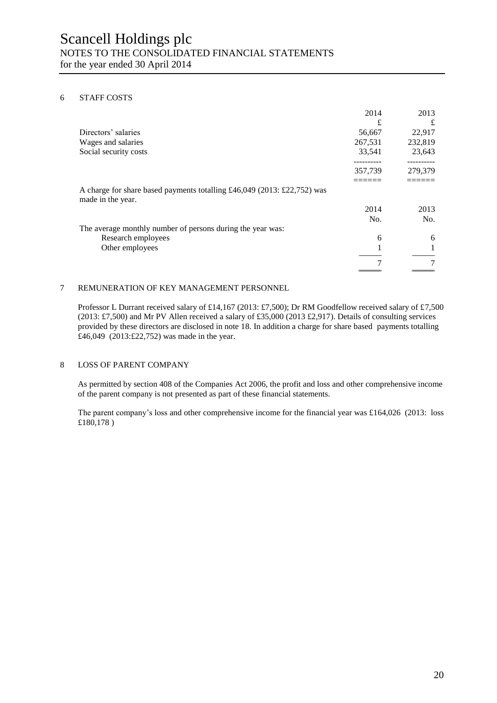### 6 STAFF COSTS

|                                                                                              | 2014    | 2013    |
|----------------------------------------------------------------------------------------------|---------|---------|
|                                                                                              | £       | £       |
| Directors' salaries                                                                          | 56,667  | 22,917  |
| Wages and salaries                                                                           | 267,531 | 232,819 |
| Social security costs                                                                        | 33,541  | 23,643  |
|                                                                                              |         | .       |
|                                                                                              | 357,739 | 279,379 |
|                                                                                              |         |         |
| A charge for share based payments totalling £46,049 (2013: £22,752) was<br>made in the year. |         |         |
|                                                                                              | 2014    | 2013    |
|                                                                                              | No.     | No.     |
| The average monthly number of persons during the year was:                                   |         |         |
| Research employees                                                                           | 6       | 6       |
| Other employees                                                                              |         |         |
|                                                                                              | 7       | 7       |
|                                                                                              |         |         |

#### 7 REMUNERATION OF KEY MANAGEMENT PERSONNEL

Professor L Durrant received salary of £14,167 (2013: £7,500); Dr RM Goodfellow received salary of £7,500 (2013: £7,500) and Mr PV Allen received a salary of £35,000 (2013 £2,917). Details of consulting services provided by these directors are disclosed in note 18. In addition a charge for share based payments totalling £46,049 (2013:£22,752) was made in the year.

### 8 LOSS OF PARENT COMPANY

As permitted by section 408 of the Companies Act 2006, the profit and loss and other comprehensive income of the parent company is not presented as part of these financial statements.

The parent company's loss and other comprehensive income for the financial year was £164,026 (2013: loss £180,178 )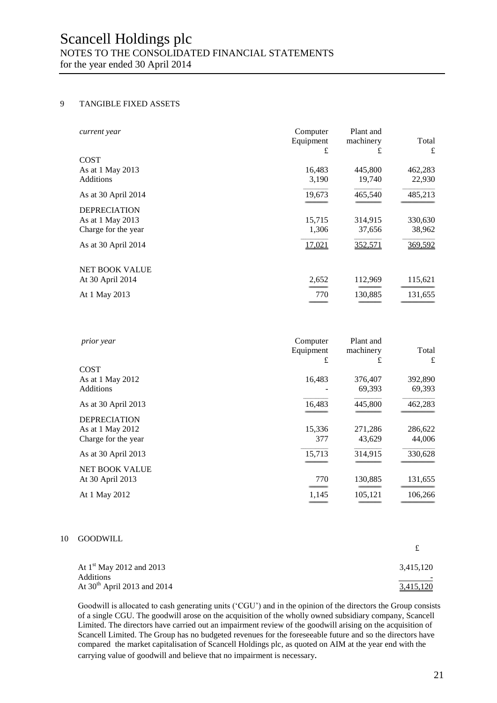## 9 TANGIBLE FIXED ASSETS

| current year          | Computer<br>Equipment | Plant and<br>machinery | Total   |
|-----------------------|-----------------------|------------------------|---------|
| <b>COST</b>           | £                     | £                      | £       |
| As at 1 May 2013      | 16,483                | 445,800                | 462,283 |
| <b>Additions</b>      | 3,190                 | 19,740                 | 22,930  |
| As at 30 April 2014   | 19,673                | 465,540                | 485,213 |
| <b>DEPRECIATION</b>   |                       |                        |         |
| As at 1 May 2013      | 15,715                | 314,915                | 330,630 |
| Charge for the year   | 1,306                 | 37,656                 | 38,962  |
| As at 30 April 2014   | 17,021                | 352,571                | 369,592 |
| <b>NET BOOK VALUE</b> |                       |                        |         |
| At 30 April 2014      | 2,652                 | 112,969                | 115,621 |
| At 1 May 2013         | 770                   | 130,885                | 131,655 |
|                       |                       |                        |         |

| <i>prior</i> year     | Computer<br>Equipment<br>£ | Plant and<br>machinery<br>£ | Total<br>£ |
|-----------------------|----------------------------|-----------------------------|------------|
| <b>COST</b>           |                            |                             |            |
| As at 1 May 2012      | 16,483                     | 376,407                     | 392,890    |
| <b>Additions</b>      |                            | 69,393                      | 69,393     |
| As at 30 April 2013   | 16,483                     | 445,800                     | 462,283    |
| <b>DEPRECIATION</b>   |                            |                             |            |
| As at 1 May 2012      | 15,336                     | 271,286                     | 286,622    |
| Charge for the year   | 377                        | 43,629                      | 44,006     |
| As at 30 April 2013   | 15,713                     | 314,915                     | 330,628    |
| <b>NET BOOK VALUE</b> |                            |                             |            |
| At 30 April 2013      | 770                        | 130,885                     | 131,655    |
| At 1 May 2012         | 1,145                      | 105,121                     | 106,266    |
|                       |                            |                             |            |

#### 10 GOODWILL

| At $1^{\text{st}}$ May 2012 and 2013              | 3.415.120 |
|---------------------------------------------------|-----------|
| <b>Additions</b><br>At $30th$ April 2013 and 2014 | 3,415,120 |

Goodwill is allocated to cash generating units ('CGU') and in the opinion of the directors the Group consists of a single CGU. The goodwill arose on the acquisition of the wholly owned subsidiary company, Scancell Limited. The directors have carried out an impairment review of the goodwill arising on the acquisition of Scancell Limited. The Group has no budgeted revenues for the foreseeable future and so the directors have compared the market capitalisation of Scancell Holdings plc, as quoted on AIM at the year end with the carrying value of goodwill and believe that no impairment is necessary*.*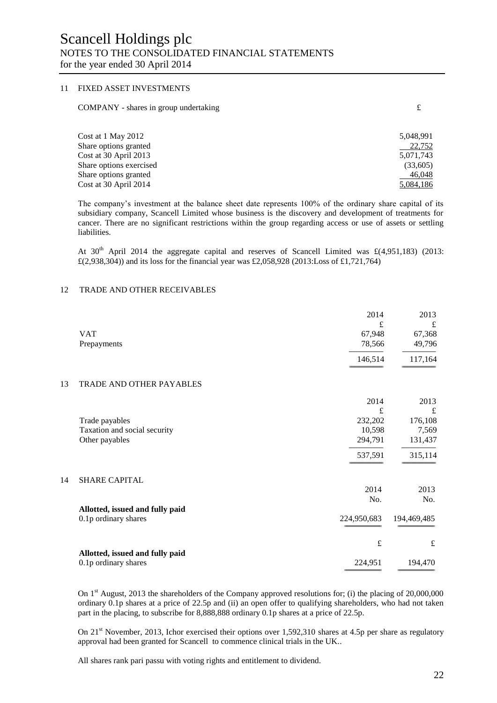#### 11 FIXED ASSET INVESTMENTS

COMPANY - shares in group undertaking  $\mathbf{\pounds}$ 

Cost at 1 May 2012 5,048,991 Share options granted 22,752 Cost at 30 April 2013 5,071,743 Share options exercised (33,605) Share options granted  $46,048$  $\frac{5,084,186}{5,084,186}$ 

The company's investment at the balance sheet date represents 100% of the ordinary share capital of its subsidiary company, Scancell Limited whose business is the discovery and development of treatments for cancer. There are no significant restrictions within the group regarding access or use of assets or settling liabilities.

At  $30<sup>th</sup>$  April 2014 the aggregate capital and reserves of Scancell Limited was  $\pounds$ (4,951,183) (2013: £(2,938,304)) and its loss for the financial year was £2,058,928 (2013:Loss of £1,721,764)

#### 12 TRADE AND OTHER RECEIVABLES

|    |                                 | 2014<br>$\mathbf f$ | 2013<br>£   |
|----|---------------------------------|---------------------|-------------|
|    | <b>VAT</b>                      | 67,948              | 67,368      |
|    | Prepayments                     | 78,566              | 49,796      |
|    |                                 | 146,514             | 117,164     |
| 13 | TRADE AND OTHER PAYABLES        |                     |             |
|    |                                 | 2014                | 2013        |
|    |                                 | £                   | £           |
|    | Trade payables                  | 232,202             | 176,108     |
|    | Taxation and social security    | 10,598              | 7,569       |
|    | Other payables                  | 294,791             | 131,437     |
|    |                                 | 537,591             | 315,114     |
| 14 | <b>SHARE CAPITAL</b>            |                     |             |
|    |                                 | 2014                | 2013        |
|    |                                 | No.                 | No.         |
|    | Allotted, issued and fully paid |                     |             |
|    | 0.1p ordinary shares            | 224,950,683         | 194,469,485 |
|    |                                 | $\pounds$           | £           |
|    | Allotted, issued and fully paid |                     |             |
|    | 0.1p ordinary shares            | 224,951             | 194,470     |
|    |                                 |                     |             |

On  $1<sup>st</sup>$  August, 2013 the shareholders of the Company approved resolutions for; (i) the placing of 20,000,000 ordinary 0.1p shares at a price of 22.5p and (ii) an open offer to qualifying shareholders, who had not taken part in the placing, to subscribe for 8,888,888 ordinary 0.1p shares at a price of 22.5p.

On 21<sup>st</sup> November, 2013, Ichor exercised their options over 1,592,310 shares at 4.5p per share as regulatory approval had been granted for Scancell to commence clinical trials in the UK..

All shares rank pari passu with voting rights and entitlement to dividend.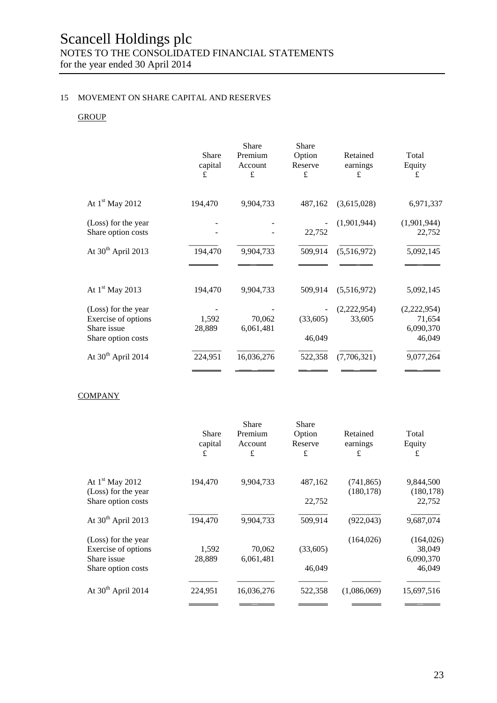## 15 MOVEMENT ON SHARE CAPITAL AND RESERVES

# **GROUP**

|                                                                                 | Share<br>capital<br>£ | <b>Share</b><br>Premium<br>Account<br>$\pounds$ | <b>Share</b><br>Option<br>Reserve<br>$\pounds$ | Retained<br>earnings<br>£ | Total<br>Equity<br>£                         |
|---------------------------------------------------------------------------------|-----------------------|-------------------------------------------------|------------------------------------------------|---------------------------|----------------------------------------------|
| At $1st$ May 2012                                                               | 194,470               | 9,904,733                                       | 487,162                                        | (3,615,028)               | 6,971,337                                    |
| (Loss) for the year<br>Share option costs                                       |                       |                                                 | 22,752                                         | (1,901,944)               | (1,901,944)<br>22,752                        |
| At 30 <sup>th</sup> April 2013                                                  | 194,470               | 9,904,733                                       | 509,914                                        | (5,516,972)               | 5,092,145                                    |
| At $1st$ May 2013                                                               | 194,470               | 9,904,733                                       | 509,914                                        | (5,516,972)               | 5,092,145                                    |
| (Loss) for the year<br>Exercise of options<br>Share issue<br>Share option costs | 1,592<br>28,889       | 70,062<br>6,061,481                             | (33,605)<br>46,049                             | (2,222,954)<br>33,605     | (2,222,954)<br>71,654<br>6,090,370<br>46,049 |
| At 30 <sup>th</sup> April 2014                                                  | 224,951               | 16,036,276                                      | 522,358                                        | (7,706,321)               | 9,077,264                                    |

## **COMPANY**

|                                          | Share<br>capital<br>£ | <b>Share</b><br>Premium<br>Account<br>£ | <b>Share</b><br>Option<br>Reserve<br>£ | Retained<br>earnings<br>£ | Total<br>Equity<br>£    |  |
|------------------------------------------|-----------------------|-----------------------------------------|----------------------------------------|---------------------------|-------------------------|--|
| At $1st$ May 2012<br>(Loss) for the year | 194,470               | 9,904,733                               | 487,162                                | (741, 865)<br>(180, 178)  | 9,844,500<br>(180, 178) |  |
| Share option costs                       |                       |                                         | 22,752                                 |                           | 22,752                  |  |
| At $30th$ April 2013                     | 194,470               | 9,904,733                               | 509,914                                | (922, 043)                | 9,687,074               |  |
| (Loss) for the year                      |                       |                                         |                                        | (164, 026)                | (164, 026)              |  |
| Exercise of options                      | 1,592                 | 70,062                                  | (33,605)                               |                           | 38,049                  |  |
| Share issue                              | 28,889                | 6,061,481                               |                                        |                           | 6,090,370               |  |
| Share option costs                       |                       |                                         | 46,049                                 |                           | 46,049                  |  |
| At $30th$ April 2014                     | 224,951               | 16,036,276                              | 522,358                                | (1,086,069)               | 15,697,516              |  |
|                                          |                       |                                         |                                        |                           |                         |  |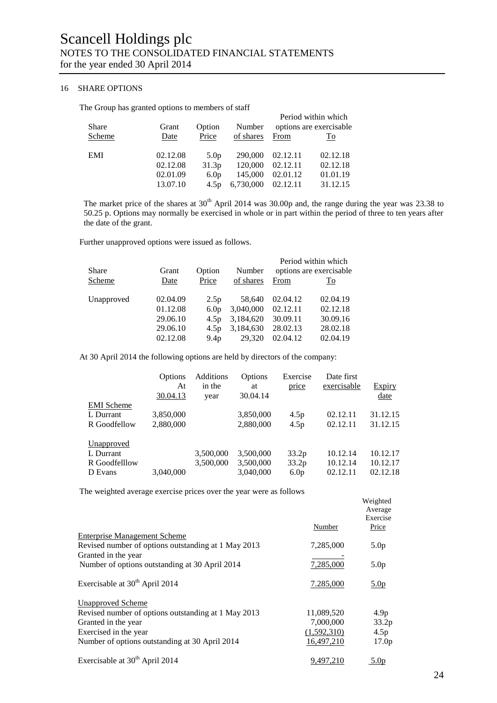## 16 SHARE OPTIONS

The Group has granted options to members of staff

| <b>Share</b><br>Scheme | Grant<br>Date | Option<br>Price  | Number<br>of shares | From     | Period within which<br>options are exercisable<br>To |
|------------------------|---------------|------------------|---------------------|----------|------------------------------------------------------|
| EMI                    | 02.12.08      | 5.0 <sub>p</sub> | 290,000             | 02.12.11 | 02.12.18                                             |
|                        | 02.12.08      | 31.3p            | 120,000             | 02.12.11 | 02.12.18                                             |
|                        | 02.01.09      | 6.0 <sub>p</sub> | 145,000             | 02.01.12 | 01.01.19                                             |
|                        | 13.07.10      | 4.5p             | 6,730,000           | 02.12.11 | 31.12.15                                             |

The market price of the shares at  $30^{th}$  April 2014 was 30.00p and, the range during the year was 23.38 to 50.25 p. Options may normally be exercised in whole or in part within the period of three to ten years after the date of the grant.

Further unapproved options were issued as follows.

| <b>Share</b> | Grant    | Option           | Number    |          | Period within which<br>options are exercisable |
|--------------|----------|------------------|-----------|----------|------------------------------------------------|
| Scheme       | Date     | Price            | of shares | From     | To                                             |
| Unapproved   | 02.04.09 | 2.5p             | 58,640    | 02.04.12 | 02.04.19                                       |
|              | 01.12.08 | 6.0 <sub>p</sub> | 3,040,000 | 02.12.11 | 02.12.18                                       |
|              | 29.06.10 | 4.5 <sub>p</sub> | 3,184,620 | 30.09.11 | 30.09.16                                       |
|              | 29.06.10 | 4.5 <sub>p</sub> | 3,184,630 | 28.02.13 | 28.02.18                                       |
|              | 02.12.08 | 9.4 <sub>p</sub> | 29,320    | 02.04.12 | 02.04.19                                       |

At 30 April 2014 the following options are held by directors of the company:

|                   | Options<br>At<br>30.04.13 | Additions<br>in the<br>year | <b>Options</b><br>at<br>30.04.14 | Exercise<br>price | Date first<br>exercisable | <b>Expiry</b><br>date |
|-------------------|---------------------------|-----------------------------|----------------------------------|-------------------|---------------------------|-----------------------|
| <b>EMI</b> Scheme |                           |                             |                                  |                   |                           |                       |
| L Durrant         | 3,850,000                 |                             | 3,850,000                        | 4.5p              | 02.12.11                  | 31.12.15              |
| R Goodfellow      | 2,880,000                 |                             | 2,880,000                        | 4.5 <sub>p</sub>  | 02.12.11                  | 31.12.15              |
| Unapproved        |                           |                             |                                  |                   |                           |                       |
| L Durrant         |                           | 3,500,000                   | 3,500,000                        | 33.2p             | 10.12.14                  | 10.12.17              |
| R Goodfelllow     |                           | 3,500,000                   | 3,500,000                        | 33.2p             | 10.12.14                  | 10.12.17              |
| D Evans           | 3,040,000                 |                             | 3,040,000                        | 6.0 <sub>p</sub>  | 02.12.11                  | 02.12.18              |

The weighted average exercise prices over the year were as follows

|                                                     |             | Average<br>Exercise |
|-----------------------------------------------------|-------------|---------------------|
|                                                     | Number      | Price               |
| <b>Enterprise Management Scheme</b>                 |             |                     |
| Revised number of options outstanding at 1 May 2013 | 7,285,000   | 5.0 <sub>p</sub>    |
| Granted in the year                                 |             |                     |
| Number of options outstanding at 30 April 2014      | 7,285,000   | 5.0 <sub>p</sub>    |
| Exercisable at 30 <sup>th</sup> April 2014          | 7.285,000   | 5.0 <sub>p</sub>    |
| <b>Unapproved Scheme</b>                            |             |                     |
| Revised number of options outstanding at 1 May 2013 | 11,089,520  | 4.9p                |
| Granted in the year                                 | 7,000,000   | 33.2p               |
| Exercised in the year                               | (1,592,310) | 4.5p                |
| Number of options outstanding at 30 April 2014      | 16,497,210  | 17.0 <sub>p</sub>   |
| Exercisable at 30 <sup>th</sup> April 2014          | 9,497,210   | 5.0 <sub>p</sub>    |

Weighted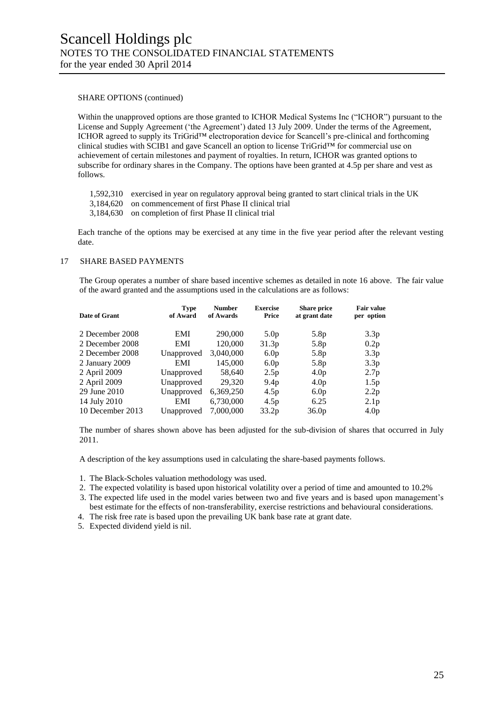#### SHARE OPTIONS (continued)

Within the unapproved options are those granted to ICHOR Medical Systems Inc ("ICHOR") pursuant to the License and Supply Agreement ('the Agreement') dated 13 July 2009. Under the terms of the Agreement, ICHOR agreed to supply its TriGrid™ electroporation device for Scancell's pre-clinical and forthcoming clinical studies with SCIB1 and gave Scancell an option to license TriGrid™ for commercial use on achievement of certain milestones and payment of royalties. In return, ICHOR was granted options to subscribe for ordinary shares in the Company. The options have been granted at 4.5p per share and vest as follows.

- 1,592,310 exercised in year on regulatory approval being granted to start clinical trials in the UK
- 3,184,620 on commencement of first Phase II clinical trial
- 3,184,630 on completion of first Phase II clinical trial

Each tranche of the options may be exercised at any time in the five year period after the relevant vesting date.

## 17 SHARE BASED PAYMENTS

The Group operates a number of share based incentive schemes as detailed in note 16 above. The fair value of the award granted and the assumptions used in the calculations are as follows:

| Date of Grant    | <b>Type</b><br>of Award | <b>Number</b><br>of Awards | <b>Exercise</b><br>Price | <b>Share price</b><br>at grant date | <b>Fair value</b><br>per option |
|------------------|-------------------------|----------------------------|--------------------------|-------------------------------------|---------------------------------|
| 2 December 2008  | EMI                     | 290,000                    | 5.0 <sub>p</sub>         | 5.8p                                | 3.3 <sub>p</sub>                |
| 2 December 2008  | <b>EMI</b>              | 120,000                    | 31.3 <sub>p</sub>        | 5.8p                                | 0.2p                            |
| 2 December 2008  | Unapproved              | 3,040,000                  | 6.0 <sub>p</sub>         | 5.8p                                | 3.3p                            |
| 2 January 2009   | EMI                     | 145,000                    | 6.0 <sub>p</sub>         | 5.8p                                | 3.3 <sub>p</sub>                |
| 2 April 2009     | Unapproved              | 58,640                     | 2.5p                     | 4.0 <sub>p</sub>                    | 2.7p                            |
| 2 April 2009     | Unapproved              | 29,320                     | 9.4 <sub>p</sub>         | 4.0 <sub>p</sub>                    | 1.5p                            |
| 29 June 2010     | Unapproved              | 6,369,250                  | 4.5p                     | 6.0 <sub>p</sub>                    | 2.2p                            |
| 14 July 2010     | EMI                     | 6,730,000                  | 4.5p                     | 6.25                                | 2.1 <sub>p</sub>                |
| 10 December 2013 | Unapproved              | 7,000,000                  | 33.2p                    | 36.0 <sub>p</sub>                   | 4.0 <sub>p</sub>                |

The number of shares shown above has been adjusted for the sub-division of shares that occurred in July 2011.

A description of the key assumptions used in calculating the share-based payments follows.

- 1. The Black-Scholes valuation methodology was used.
- 2. The expected volatility is based upon historical volatility over a period of time and amounted to 10.2%
- 3. The expected life used in the model varies between two and five years and is based upon management's best estimate for the effects of non-transferability, exercise restrictions and behavioural considerations.
- 4. The risk free rate is based upon the prevailing UK bank base rate at grant date.
- 5. Expected dividend yield is nil.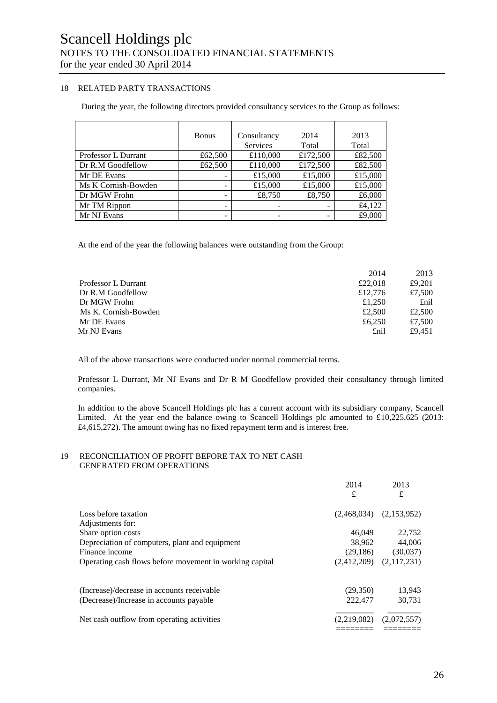### 18 RELATED PARTY TRANSACTIONS

During the year, the following directors provided consultancy services to the Group as follows:

|                     | <b>Bonus</b> | Consultancy     | 2014     | 2013    |
|---------------------|--------------|-----------------|----------|---------|
|                     |              | <b>Services</b> | Total    | Total   |
| Professor L Durrant | £62,500      | £110,000        | £172,500 | £82,500 |
| Dr R.M Goodfellow   | £62,500      | £110,000        | £172,500 | £82,500 |
| Mr DE Evans         |              | £15,000         | £15,000  | £15,000 |
| Ms K Cornish-Bowden |              | £15,000         | £15,000  | £15,000 |
| Dr MGW Frohn        |              | £8,750          | £8,750   | £6,000  |
| Mr TM Rippon        |              |                 |          | £4,122  |
| Mr NJ Evans         | -            |                 | -        | £9,000  |

At the end of the year the following balances were outstanding from the Group:

|                      | 2014    | 2013   |
|----------------------|---------|--------|
| Professor L Durrant  | £22.018 | £9.201 |
| Dr R.M Goodfellow    | £12,776 | £7,500 |
| Dr MGW Frohn         | £1.250  | £nil   |
| Ms K. Cornish-Bowden | £2,500  | £2,500 |
| Mr DE Evans          | £6,250  | £7.500 |
| Mr NJ Evans          | £nil    | £9.451 |

All of the above transactions were conducted under normal commercial terms.

Professor L Durrant, Mr NJ Evans and Dr R M Goodfellow provided their consultancy through limited companies.

In addition to the above Scancell Holdings plc has a current account with its subsidiary company, Scancell Limited. At the year end the balance owing to Scancell Holdings plc amounted to £10,225,625 (2013: £4,615,272). The amount owing has no fixed repayment term and is interest free.

#### 19 RECONCILIATION OF PROFIT BEFORE TAX TO NET CASH GENERATED FROM OPERATIONS

|                                                         | 2014<br>£   | 2013<br>£   |
|---------------------------------------------------------|-------------|-------------|
| Loss before taxation                                    | (2.468.034) | (2,153,952) |
| Adjustments for:                                        |             |             |
| Share option costs                                      | 46,049      | 22,752      |
| Depreciation of computers, plant and equipment          | 38.962      | 44,006      |
| Finance income                                          | (29, 186)   | (30,037)    |
| Operating cash flows before movement in working capital | (2,412,209) | (2,117,231) |
| (Increase)/decrease in accounts receivable              | (29,350)    | 13,943      |
| (Decrease)/Increase in accounts payable                 | 222,477     | 30,731      |
| Net cash outflow from operating activities              | (2.219.082) | (2,072,557) |
|                                                         |             |             |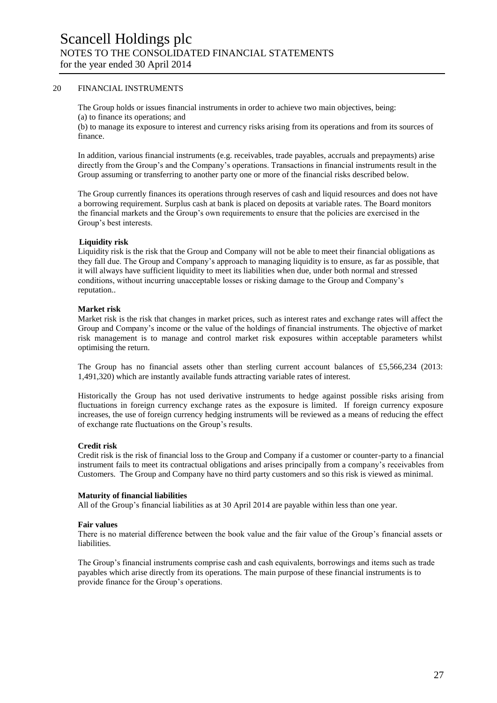## 20 FINANCIAL INSTRUMENTS

The Group holds or issues financial instruments in order to achieve two main objectives, being: (a) to finance its operations; and

(b) to manage its exposure to interest and currency risks arising from its operations and from its sources of finance.

In addition, various financial instruments (e.g. receivables, trade payables, accruals and prepayments) arise directly from the Group's and the Company's operations. Transactions in financial instruments result in the Group assuming or transferring to another party one or more of the financial risks described below.

The Group currently finances its operations through reserves of cash and liquid resources and does not have a borrowing requirement. Surplus cash at bank is placed on deposits at variable rates. The Board monitors the financial markets and the Group's own requirements to ensure that the policies are exercised in the Group's best interests.

#### **Liquidity risk**

Liquidity risk is the risk that the Group and Company will not be able to meet their financial obligations as they fall due. The Group and Company's approach to managing liquidity is to ensure, as far as possible, that it will always have sufficient liquidity to meet its liabilities when due, under both normal and stressed conditions, without incurring unacceptable losses or risking damage to the Group and Company's reputation..

#### **Market risk**

Market risk is the risk that changes in market prices, such as interest rates and exchange rates will affect the Group and Company's income or the value of the holdings of financial instruments. The objective of market risk management is to manage and control market risk exposures within acceptable parameters whilst optimising the return.

The Group has no financial assets other than sterling current account balances of £5,566,234 (2013: 1,491,320) which are instantly available funds attracting variable rates of interest.

Historically the Group has not used derivative instruments to hedge against possible risks arising from fluctuations in foreign currency exchange rates as the exposure is limited. If foreign currency exposure increases, the use of foreign currency hedging instruments will be reviewed as a means of reducing the effect of exchange rate fluctuations on the Group's results.

#### **Credit risk**

Credit risk is the risk of financial loss to the Group and Company if a customer or counter-party to a financial instrument fails to meet its contractual obligations and arises principally from a company's receivables from Customers. The Group and Company have no third party customers and so this risk is viewed as minimal.

#### **Maturity of financial liabilities**

All of the Group's financial liabilities as at 30 April 2014 are payable within less than one year.

#### **Fair values**

There is no material difference between the book value and the fair value of the Group's financial assets or liabilities.

The Group's financial instruments comprise cash and cash equivalents, borrowings and items such as trade payables which arise directly from its operations. The main purpose of these financial instruments is to provide finance for the Group's operations.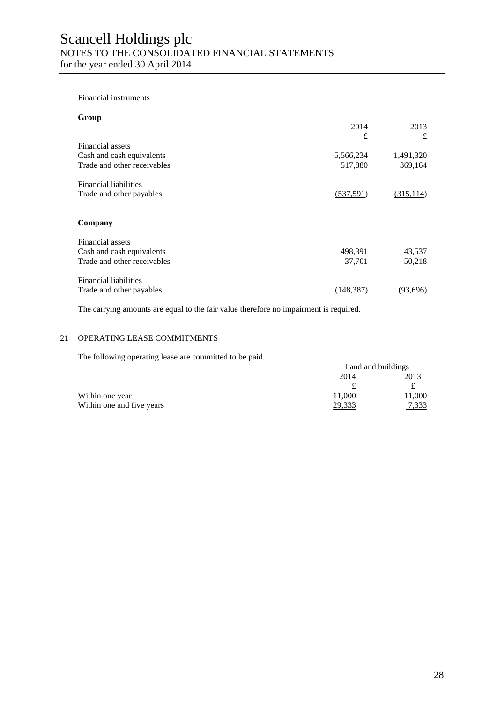## Financial instruments

| Group                        |           |            |
|------------------------------|-----------|------------|
|                              | 2014      | 2013       |
|                              | £         | £          |
| Financial assets             |           |            |
| Cash and cash equivalents    | 5,566,234 | 1,491,320  |
| Trade and other receivables  | 517,880   | 369,164    |
|                              |           |            |
| <b>Financial liabilities</b> |           |            |
| Trade and other payables     | (537,591) | (315, 114) |
|                              |           |            |
| Company                      |           |            |
| Financial assets             |           |            |
| Cash and cash equivalents    | 498,391   | 43,537     |
| Trade and other receivables  | 37,701    | 50,218     |
|                              |           |            |
| <b>Financial liabilities</b> |           |            |
| Trade and other payables     | (148,387) | (93,696)   |
|                              |           |            |

The carrying amounts are equal to the fair value therefore no impairment is required.

### 21 OPERATING LEASE COMMITMENTS

The following operating lease are committed to be paid.

|                           | Land and buildings |        |
|---------------------------|--------------------|--------|
|                           | 2014               | 2013   |
|                           |                    |        |
| Within one year           | 11.000             | 11,000 |
| Within one and five years | 29,333             | 7,333  |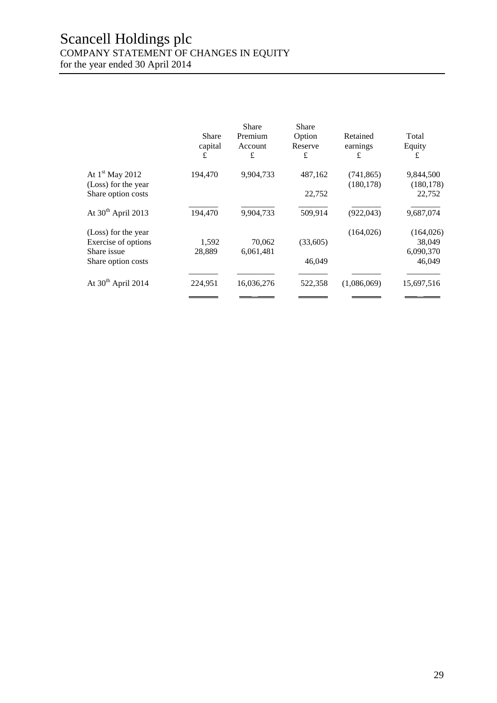# Scancell Holdings plc COMPANY STATEMENT OF CHANGES IN EQUITY

for the year ended 30 April 2014

|                                          | <b>Share</b><br>capital<br>£ | Share<br>Premium<br>Account<br>£ | <b>Share</b><br>Option<br>Reserve<br>£ | Retained<br>earnings<br>£ | Total<br>Equity<br>£    |  |
|------------------------------------------|------------------------------|----------------------------------|----------------------------------------|---------------------------|-------------------------|--|
| At $1st$ May 2012<br>(Loss) for the year | 194,470                      | 9,904,733                        | 487,162                                | (741, 865)<br>(180, 178)  | 9,844,500<br>(180, 178) |  |
| Share option costs                       |                              |                                  | 22,752                                 |                           | 22,752                  |  |
| At $30th$ April 2013                     | 194,470                      | 9,904,733                        | 509,914                                | (922, 043)                | 9,687,074               |  |
| (Loss) for the year                      |                              |                                  |                                        | (164, 026)                | (164, 026)              |  |
| Exercise of options                      | 1,592                        | 70,062                           | (33,605)                               |                           | 38,049                  |  |
| Share issue                              | 28,889                       | 6,061,481                        |                                        |                           | 6,090,370               |  |
| Share option costs                       |                              |                                  | 46,049                                 |                           | 46,049                  |  |
| At $30th$ April 2014                     | 224,951                      | 16,036,276                       | 522,358                                | (1,086,069)               | 15,697,516              |  |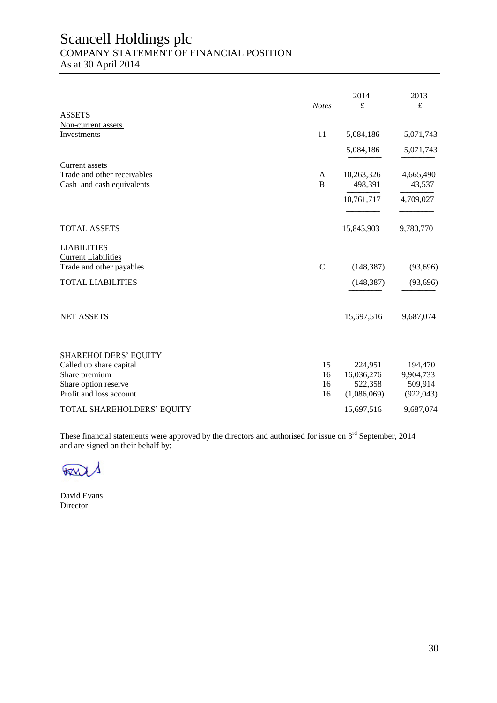# Scancell Holdings plc COMPANY STATEMENT OF FINANCIAL POSITION

As at 30 April 2014

|                             | <b>Notes</b>  | 2014<br>£   | 2013<br>£  |
|-----------------------------|---------------|-------------|------------|
| <b>ASSETS</b>               |               |             |            |
| Non-current assets          |               |             |            |
| Investments                 | 11            | 5,084,186   | 5,071,743  |
|                             |               | 5,084,186   | 5,071,743  |
| <b>Current</b> assets       |               |             |            |
| Trade and other receivables | A             | 10,263,326  | 4,665,490  |
| Cash and cash equivalents   | $\, {\bf B}$  | 498,391     | 43,537     |
|                             |               | 10,761,717  | 4,709,027  |
| <b>TOTAL ASSETS</b>         |               | 15,845,903  | 9,780,770  |
| <b>LIABILITIES</b>          |               |             |            |
| <b>Current Liabilities</b>  |               |             |            |
| Trade and other payables    | $\mathcal{C}$ | (148, 387)  | (93, 696)  |
| <b>TOTAL LIABILITIES</b>    |               | (148, 387)  | (93, 696)  |
| <b>NET ASSETS</b>           |               | 15,697,516  | 9,687,074  |
|                             |               |             |            |
| <b>SHAREHOLDERS' EQUITY</b> |               |             |            |
| Called up share capital     | 15            | 224,951     | 194,470    |
| Share premium               | 16            | 16,036,276  | 9,904,733  |
| Share option reserve        | 16            | 522,358     | 509,914    |
| Profit and loss account     | 16            | (1,086,069) | (922, 043) |
| TOTAL SHAREHOLDERS' EQUITY  |               | 15,697,516  | 9,687,074  |
|                             |               |             | =          |

These financial statements were approved by the directors and authorised for issue on  $3<sup>rd</sup>$  September, 2014 and are signed on their behalf by:



David Evans Director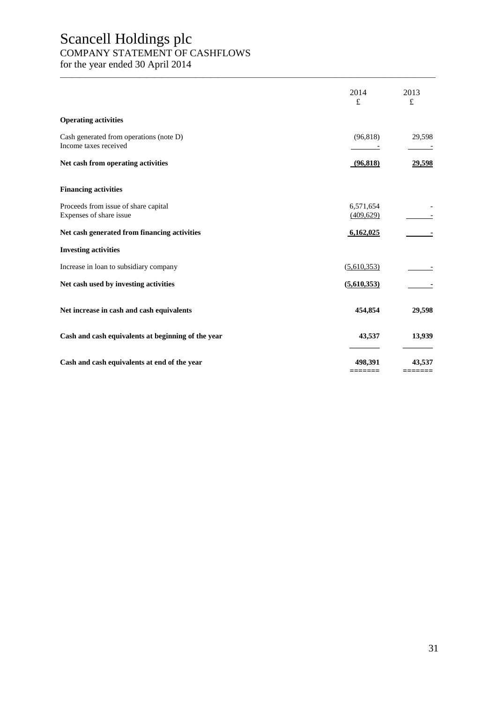# Scancell Holdings plc COMPANY STATEMENT OF CASHFLOWS

for the year ended 30 April 2014

|                                                                  | 2014<br>£               | 2013<br>£ |
|------------------------------------------------------------------|-------------------------|-----------|
| <b>Operating activities</b>                                      |                         |           |
| Cash generated from operations (note D)<br>Income taxes received | (96, 818)               | 29,598    |
| Net cash from operating activities                               | (96,818)                | 29,598    |
| <b>Financing activities</b>                                      |                         |           |
| Proceeds from issue of share capital<br>Expenses of share issue  | 6,571,654<br>(409, 629) |           |
| Net cash generated from financing activities                     | 6,162,025               |           |
| <b>Investing activities</b>                                      |                         |           |
| Increase in loan to subsidiary company                           | (5,610,353)             |           |
| Net cash used by investing activities                            | (5,610,353)             |           |
| Net increase in cash and cash equivalents                        | 454,854                 | 29,598    |
| Cash and cash equivalents at beginning of the year               | 43,537                  | 13,939    |
| Cash and cash equivalents at end of the year                     | 498,391                 | 43,537    |

\_\_\_\_\_\_\_\_\_\_\_\_\_\_\_\_\_\_\_\_\_\_\_\_\_\_\_\_\_\_\_\_\_\_\_\_\_\_\_\_\_\_\_\_\_\_\_\_\_\_\_\_\_\_\_\_\_\_\_\_\_\_\_\_\_\_\_\_\_\_\_\_\_\_\_\_\_\_\_\_\_\_\_\_\_\_\_\_\_\_\_\_\_\_\_\_\_\_\_\_